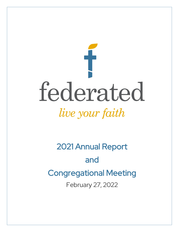

2021 Annual Report and Congregational Meeting February 27, 2022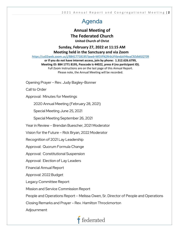## Agenda

### **Annual Meeting of The Federated Church United Church of Christ**

**Sunday, February 27, 2022 at 11:15 AM**

**Meeting held in the Sanctuary and via Zoom**

<https://us02web.zoom.us/j/88417718195?pwd=WEVFN2RrbUFtbndaVHkxaC9ZdldGQT09>

**or if you do not have internet access, join by phone: 1.312.626.6799, Meeting ID: 884 1771 8195, Passcode is 44022, press # (no participant ID).**  Full Zoom Instructions are on the last page of this Annual Report. Please note, the Annual Meeting will be recorded.

Opening Prayer – Rev. Judy Bagley-Bonner

Call to Order

Approval: Minutes for Meetings

2020 Annual Meeting (February 28, 2021)

Special Meeting June 25, 2021

Special Meeting September 26, 2021

Year in Review – Brendan Buescher, 2021 Moderator

Vision for the Future – Rick Bryan, 2022 Moderator

Recognition of 2021 Lay Leadership

Approval: Quorum Formula Change

Approval: Constitutional Suspension

Approval: Election of Lay Leaders

Financial Annual Report

Approval: 2022 Budget

Legacy Committee Report

Mission and Service Commission Report

People and Operations Report – Melissa Owen, Sr. Director of People and Operations

Closing Remarks and Prayer – Rev. Hamilton Throckmorton

Adjournment

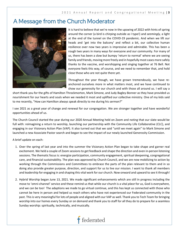### A Message from the Church Moderator



It is hard to believe that we're now in the upswing of 2022 with hints of spring around the corner (a bird is chirping outside as I type!) and *seemingly,* a light at the end of the tunnel on the COVID-19 pandemic. And when we lift our heads and 'get into the balcony' and reflect a bit, our collective human resilience over now two years is impressive and admirable. This has been a rough two years in many ways for everyone and our community. For many of us, there has been a slow but bumpy 'return to normal' where we are seeing family and friends, moving more freely and in hopefully most cases more safely thanks to the vaccine, and worshipping and singing together at 76 Bell. Not everyone feels this way, of course, and we need to remember that, and hold close those who are not quite there yet.

Throughout the year though, we have grown tremendously, we have reanchored ourselves more in what matters most, and we have continued to show our generosity for our church and with those all around us. I will say a

short thank you for the gifts of Hamilton Throckmorton, Mark Simone, and Judy Bagley-Bonner as they have provided us nourishment for our hearts and souls when we needed it most and uplifted our collective ministry. One of my kids said to me recently, "How can Hamilton always speak directly to me during his sermon?"

I see 2021 as a great year of change and renewal for our congregation. We are stronger together and have wonderful opportunities ahead of us.

The Church Council started the year during our 2020 Annual Meeting held on Zoom and noting that our slate would be full with: reimagining a return to worship, launching our partnership with the Community Life Collaborative (CLC), and engaging in our Visionary Action Plan (VAP). It also turned out that we said "until we meet again" to Mark Simone and launched a new Associate Pastor search and began to see the impact of our newly launched Generosity Commission.

A brief update on each:

- 1. Over the spring of last year and into the summer the Visionary Action Plan began to take shape and garner real excitement. We held a couple of Zoom sessions to get feedback and shape the direction and even in-person listening sessions. The thematic focus is: energize participation, community engagement, spiritual deepening, congregational care, and financial sustainability. The plan was approved by Church Council, and we are now mobilizing to action by working through the Commissions and Committees to embrace the parts of the plan relevant to them and in so doing also provide greater purpose, direction, and support for us to live our mission. I want to thank all members and leadership for engaging in and shaping this vital work for our church. Now onward and upward to see it through!
- 2. Hybrid Worship began June 13, 2021. We made significant enhancements which are still in progress including the move to 'omni-channel' service and these remind us that while our church is a vital *place* for us, God is everywhere, and we can be too! The adaptions we made to go virtual continue, and this has kept us connected with those who cannot be here in person and helped us reach others who have not experienced our Federated community in the past. This is very meaningful for lots of people and aligned with our VAP as well. Thank you to Tech Team for bringing worship into our homes every Sunday or on demand and thank you to staff for all they do to prepare for a seamless Sunday worship: spiritually, technically, and musically.

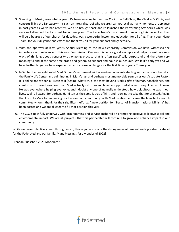- 3. Speaking of Music, wow what a year! It's been amazing to hear our Choir, the Bell Choir, the Children's Choir, and concerts filling the Sanctuary – it's such an integral part of who we are. I cannot recall as many moments of applause in past years as we've had recently. We also brought back and re-launched the Performing Arts Series which was very well attended thanks in part to our new piano! The Piano Team's discernment in selecting this piece of art that will be a bedrock of our church for decades, was a wonderful lesson and education for all of us. Thank you, Piano Team, for your diligence and effort and thank you all for your support and generosity.
- 4. With the approval at least year's Annual Meeting of the new Generosity Commission we have witnessed the importance and relevance of this new Commission. Our new piano is a great example and helps us embrace new ways of thinking about generosity as ongoing practice that is often specifically purposeful and therefore very meaningful and at the same time broad and general to support and nourish our church. While it's early yet and we have further to go, we have experienced an increase in pledges for the first time in years. Thank you.
- 5. In September we celebrated Mark Simone's retirement with a weekend of events starting with an outdoor buffet at the Family Life Center and culminating in Mark's last and perhaps most memorable sermon as our Associate Pastor. It is online and we can all listen to it (again). What struck me most beyond Mark's gifts of humor, nonchalance, and comfort with oneself was how much Mark actually did for us and how he supported all of us in ways I had not known. He was everywhere helping everyone, and I doubt any one of us really understood how ubiquitous he was in our lives. Well, all except for perhaps Hamilton as the same is true of him, and I vow not to take that for granted. Again, thank you to Mark for enhancing our lives and our community. With Mark's retirement came the launch of a search committee whom I thank for their significant efforts. A new position for "Pastor of Transformational Ministry" has been posted and we are all eager to fill that position this year.
- 6. The CLC is now fully underway with programming and service anchored on promoting positive collective social and environmental impact. We are all prayerful that this partnership will continue to grow and enhance impact in our community.

While we have collectively been through much, I hope you also share the strong sense of renewal and opportunity ahead for the Federated and our family. Many blessings for a wonderful 2022!

Brendan Buescher, 2021 Moderator

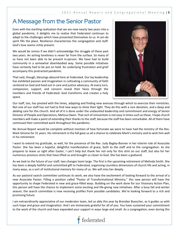### A Message from the Senior Pastor

Even with the startling realization that we are now nearly two years into a global pandemic, it delights me to realize that Federated continues to adapt to the challenges which have presented themselves to us. A can-do spirit fills the place. Resilience characterizes the congregation and staff. God's love seems richly present.

We would be remiss if we didn't acknowledge the struggle of these past two years. An aching loneliness is never far from the surface. So many of us have not been able to be present in-person. We have had to build community in a somewhat disembodied way. Some possible initiatives have certainly had to be put on hold. An underlying frustration and grief accompany this protracted pandemic.

That said, though, blessings abound here at Federated. Our lay leadership has exhibited passion and imagination in cultivating a community of faith centered on God and lived out in care and justice advocacy. At every turn, compassion, support, and concern reveal their faces through the members and friends of Federated. God transforms and creates a holy space.



Our staff, too, has pivoted with the times, adapting and finding new avenues through which to exercise their ministries. Not one of our staff has not had to find new ways to shine their light. They do this with a rare devotion, and a deep and abiding care for this church. And all of it is done under the undaunted leadership and commitment and energy of Senior Director of People and Operations, Melissa Owen. That sort of reinvention is not easy in times such as these. I hope church members will make a point of extending their thanks to the staff, because the staff has been remarkable. All of them have continued their committed work throughout the pandemic.

No Annual Report would be complete without mention of how fortunate we were to have had the ministry of the Rev. Mark Simone for 31 years. His retirement in the fall gave us all a chance to celebrate Mark's ministry and to wish him well in his retirement.

I want to extend my gratitude, as well, for the presence of the Rev. Judy Bagley-Bonner in her interim role of Associate Pastor. She has been a hopeful, delightful manifestation of grace, both to the staff and to the congregation. As she prepares to leave us right after Easter, I can't help but thank her not only for this stint on our staff, but also for her numerous previous stints that have lifted us and brought us closer to God. She has been a godsend.

As we look to the future of our staff, two changes loom large. The first is the upcoming retirement of Melinda Smith. She has been a deeply faithful and committed gift to Federated, organizing countless dimensions of church life and acting, in many ways, as a sort of institutional memory for many of us. We will miss her deeply.

As our pastoral search committee continues its work, we also have the excitement of looking forward to the arrival of a new Associate Pastor. Filling a position called "Pastor of Transformational Ministry," this new person will have the opportunity to shape Federated in new and grace-filled ways. Building on the work done for our Visionary Action Plan, this person will have the chance to implement some exciting and life-giving new initiatives. After a busy fall and winter season, the search committee is now receiving profiles from possible candidates. We're looking forward to a rich and promising future.

I am extraordinarily appreciative of our moderator team, led so ably this year by Brendan Buescher, as it guides us with such hope and grace and imagination. And I am immensely grateful for all of you. You have sustained your commitment to the work of the church and have expanded your support in ways large and small. As a congregation, even during this

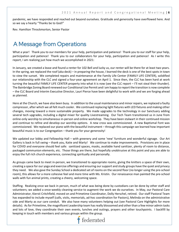pandemic, we have responded and reached out beyond ourselves. Gratitude and generosity have overflowed here. And so we say a hearty "Thanks be to God!"

Rev. Hamilton Throckmorton, Senior Pastor

## A Message from Operations

What a year! Thank you to our members for your help, participation and patience! Thank you to our staff for your help, participation and patience! Thank you to our collaborators for your help, participation and patience! As I write this report, I am realizing just how much we accomplished in 2021:

In January, we created a lease and found a renter for 102 Bell and lucky us, our renter will be there for at least two years. In the spring, we replaced the roof (aka deck) – in preparing the house, I learned the deck is one of the best spots in town to view the sunset. We completed repairs and maintenance at the Family Life Center (FAMILY LIFE CENTER), solidified our relationship with the CLC and signed a four-year agreement on April 1. Since then, the CLC has been hard at work turning the beautiful FAMILY LIFE CENTER property into what it is now (see the CLC report – I'll not steal their thunder). The Bainbridge Zoning Board renewed our Conditional Use Permit and I am happy to report the transition is now complete – the CLC Board and Interim Executive Director, Lauri Pierce have been delightful to work with and we are forging ahead as planned.

Here at the Church, we have also been busy. In addition to the usual maintenance and minor repairs, we replaced a faulty compressor, after which we all felt much cooler. We continued replacing light fixtures with LED fixtures and making other changes, moving toward a more sustainable property. We made upgrades to the technology in our Sanctuary adding several tech upgrades, including a digital mixer for quality Livestreaming. Our Tech Team transitioned us in June from online-only worship to simultaneous in-person and online workshop. They have been stalwart in their continued mission and continue to refine and develop our worship options. A new cross was commissioned. A new Baptismal Font was commissioned. We replaced our piano with the beautiful instrument – through this campaign we learned how important beautiful music is to our Congregation – thank you for your generosity!

We updated our lobby and Fellowship Hall – with greenery and some 'new' furniture and wonderful signage. Our Art Gallery is back in full swing – thank you, Katie and Marty! We continue to make improvements. Provisions are in place for COVID and everyone should feel safe: sanitized spaces, masks, available hand sanitizer, plenty of room to distance, packaged communion elements, etc. Those things are there, but hopefully unobtrusive at this point and you are able to enjoy the full rich church experience, connecting spiritually and personally.

As groups came back to meet in-person, we transitioned to appropriate rooms, giving the knitters a space of their own, creating a space for our yoga and exercise offerings and ensuring our support and study groups have the quiet and privacy they need. We also gave the Sunday School a dedicated set of rooms on the second floor (no longer using the pre-school room), this allows for a more cohesive feel and more time with Ms. Kristin. Our renaissance man painted the pre-school walls with fun animal prints, creating a cheery, welcoming space.

Staffing. Realizing once we back in person, much of what was being done by custodians can be done by other staff and volunteers; we added a once-weekly cleaning service to augment the work we do ourselves. In May, our Pastoral Care Administrator, Kiersti Critchfield, moved on and Primetime Coordinator, Dolly Herschel, retired. Our staff Pastoral Team has expanded to include myself (calls, visits, memorials, ad-hoc coordination for Pastors), Melinda on the administrative side and Marty as our care conduit. We also have many volunteers helping out (see Pastoral Care Highlights for more details). As for Primetime, the magnificent Leadership team has really blossomed and other than a few minor admin tasks and lots of love, they coordinate their own events, lunches and outings, prayers and other touchpoints. I backfill by keeping in touch with members and various groups within the group.

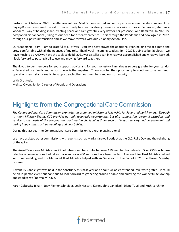Pastors. In October of 2021, the effervescent Rev. Mark Simone retired and our super special summer/Interim Rev. Judy Bagley-Bonner answered the call to serve. Judy has been a steady presence in various roles at Federated, she has a wonderful way of holding space, creating peace and I am grateful every day for her presence. And Hamilton. In 2021, he postponed his sabbatical, rising to our need for a steady presence – first through the Pandemic and now again in 2022, through our pastoral transition and as we move forward with our Visionary Action Plan.

Our Leadership Team. I am so grateful to all of you – you who have stayed the additional year, helping me acclimate and grow comfortable with all the nuances of my role. Thank you! Incoming Leadership – 2022 is going to be fabulous – we have much to do AND we have the tools to do it! 2021 was a stellar year, in what was accomplished and what we learned. I look forward to putting it all to use and moving forward together.

Thank you to our members for your support, advice and for your honesty – I am always so very grateful for your candor – Federated is a family and as such, love is the impetus. Thank you for the opportunity to continue to serve. Your operations team stands ready, to support each other, our members and our community.

With Gratitude, Melissa Owen, Senior Director of People and Operations

## Highlights from the Congregational Care Commission

*The Congregational Care Commission promotes an expanded ministry of fellowship for Federated parishioners. Through its many Ministry Teams, CCC provides not only fellowship opportunities but also compassion, personal visitation, and service to the needs of the congregation both during challenging times such as illness, recovery and bereavement and during happy times such as weddings and new babies.*

During this last year the Congregational Care Commission has kept plugging along!

We have assisted other commissions with events such as Mark's farewell potluck at the CLC, Rally Day and the relighting of the spire.

The Angel Telephone Ministry has 25 volunteers and has contacted over 150 member households. Over 250 touch base telephone conversations had taken place and over 400 sermons have been mailed. The Wedding Host Ministry helped with one wedding and the Memorial Host Ministry helped with six Services. In the Fall of 2021, the Flower Ministry resumed.

Advent By Candlelight was held in the Sanctuary this past year and about 50 ladies attended. We were grateful it could be an in-person event but continue to look forward to gathering around a table and enjoying the wonderful fellowship and goodies we "normally" have.

Karen Zoltowicz (chair), Judy Riemenschneider, Leah Hassett, Karen Johns, Jan Blank, Diane Tuuri and Ruth Kershner

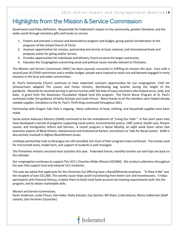## Highlights from the Mission & Service Commission

Governance and Policy Definition: Responsible for Federated's impact on the community, greater Cleveland, and the wider world through monetary gifts and hands-on service.

- 1. Fosters and oversees a mission and benevolence program and budget, giving special consideration to the programs of the United Church of Christ.
- 2. Assesses opportunities for mission, partnership and service at local, national, and international levels and proposes action for giving and/or service.
- 3. Provides opportunities for individuals and Ministry Teams to serve the larger community.
- 4. Educates the Congregation concerning social and political issues morally relevant to Christians.

The Mission and Service Commission (MSC) has been joyously successful in fulfilling its mission this year. Even with a second year of COVID restrictions and a smaller budget, people were inspired to reach out and become engaged in many missions in the local and wider communities.

St. Paul's Community Church continues to have important outreach opportunities for our congregation. Chef Jim Scheuermann adapted The Loaves and Fishes ministry, distributing bag lunches during the height of the pandemic. Recently he resumed serving in-person lunches with the help of many volunteers who helped serve, cook, and bake. A grant from the Deaconess Foundation helped fund this program. The Parish Nurse Program at St. Paul's continued under the guidance of Kathy Kolcaba and Leslie Fincun. Many thanks to all the members who helped donate needed supplies. Donations to the St. Paul's Thrift Shop continued throughout 2021.

Partnership with Chagrin Falls Park is ongoing. Many collections of food, clothing, and household supplies have been made.

Social Justice Advocacy Ministry (SJAM) continued to be the embodiment of "Living Our Faith." In five short years they have developed a myriad of programs supporting racial justice, environmental justice, LGBT justice, health care, firearm causes, and immigration reform and fairness. A recent program is Racial Allyship, an eight week Zoom series that examines aspects of Black History, Interpersonal and Institutional Racism, and Actions to Take for Racial Justice. SJAM is also actively involved in Afghan Resettlement issues.

JustHope partnership trips to Nicaragua are still cancelled, but most of their programs have continued. The money used for microcredit loans, model farm, and support of students is well managed.

The Primetime ministry resumed most activities this year. Federated Forum, monthly lunches out and trips are back on the calendar.

Our congregation continues to support The UCC's Churches Wider Mission (OCWM). We conduct collections throughout the year that support local and national UCC ministries.

This year we asked that applicants for the Christmas Eve Offering have a Racial/Minority emphasis. "A Place 4 Me" was the recipient of over \$31,000. This worthy cause helps youth transitioning from foster care and homelessness. It helps participants with financial literacy, enables them to build small bank accounts by meeting requirements built into the program, and to obtain marketable skills.

Mission and Service Commission,

Karen Anderson, Leslie Fincun, Don Hoke, Kathy Kolcaba, Gay Quintin, Bill Shaul, Linda Zelazny, Marty Culbertson (Staff Liaison), Dan Kershner (Councilor)

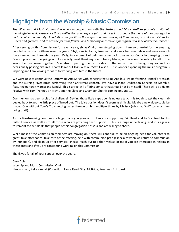### Highlights from the Worship & Music Commission

*The Worship and Music Commission works in cooperation with the Pastoral and Music staff to promote a vibrant, meaningful worship experience that glorifies God and deepens faith and takes into account the needs of the congregation and the wider community. In addition, we facilitate the preparation and serving of Communion, to make provisions for ushers and greeters, and to provide for altar flowers and temporary decorations for regular and special worship services.*

After serving on this Commission for seven years, six as Chair, I am stepping down. I am so thankful for the amazing people that worked with me over the years. Sibyl, Nancie, Laura, Susannah and Nancy had great ideas and were so much fun as we worked through the year. Kelly, in a moment of delirium came back to us as our Councilor, keeping us and Council posted on the goings on. I especially must thank my friend Nancy Isham, who was our Secretary for all of the years that we were together. She also is putting the text slides to the music that is being sung as well as occasionally posting pictures. I can't leave out Joshua as our Staff Liaison. His vision for expanding the music program is inspiring and I am looking forward to working with him in the future.

We were able to continue the Performing Arts Series with concerts featuring Apollo's Fire performing Handel's Messiah and the Burning River Brass performing their Christmas concert. We have a Piano Dedication Concert on March 5 featuring our own Marcia and Randy! This is a free-will offering concert that should not be missed! There will be a Hymn Festival with Tom Trenney on May 1 and the Cleveland Chamber Choir is coming on June 12.

Communion has been a bit of a challenge! Getting those little cups open is no easy task. It is tough to get the clear tab peeled back to get the little piece of bread out. The juice portion doesn't seem as difficult. Maybe a new video could be made. One without Your's Truly getting water thrown on him multiple times by Melissa (who had WAY too much fun doing that!).

As our livestreaming continues, a huge thank you goes out to Laura for supporting Eric Reed and to Eric Reed for his faithful service as well as to all those who are providing tech support!! This is a huge undertaking, and it is again a testament to the talents that people of this congregation possess and are willing to share.

While most of the Commission members are moving on, there will continue to be an ongoing need for volunteers to greet, take attendance, take care of the offering, help with communion prep (especially when we return to communion by intinction), and clean up after services. Please reach out to either Melissa or me if you are interested in helping in these areas and if you are considering working on this Commission.

Thank you for all of your support over the years.

Gary Dole Worship and Music Commission Chair Nancy Isham, Kelly Kimball (Councilor), Laura Reed, Sibyl McBride, Susannah Rutkowski

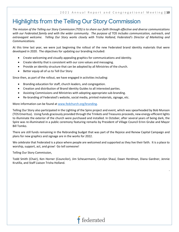## Highlights from the Telling Our Story Commission

*The mission of the Telling our Story Commission (TOS) is to share our faith through effective and diverse communications with our Federated family and with the wider community. The purpose of TOS includes communication, outreach, and extravagant welcome. Telling Our Story works closely with Trisha Holland, Federated's Director of Marketing and Communications.* 

At this time last year, we were just beginning the rollout of the new Federated brand identity materials that were developed in 2020. The objectives for updating our branding included:

- Create welcoming and visually appealing graphics for communications and identity.
- Create identity that is consistent with our core values and messaging.
- Provide an identity structure that can be adopted by all Ministries of the church.
- Better equip all of us to Tell Our Story

Since then, as part of the rollout, we have engaged in activities including:

- Branding education for staff, church leaders, and congregation.
- Creation and distribution of Brand Identity Guides to all interested parties.
- Assisting Commissions and Ministries with adopting appropriate sub-branding.
- Re-branding of Federated's website, social media, printed materials, signage, etc.

More information can be found at [www.fedchurch.org/branding.](http://www.fedchurch.org/branding)

Telling Our Story also participated in the Lighting of the Spire project and event, which was spearheaded by Bob Munson (TOS Emeritus). Using funds graciously provided through the Trinkets and Treasures proceeds, new energy-efficient lights to illuminate the exterior of the church were purchased and installed. In October, after several years of being dark, the Spire was re-illuminated in a public ceremony featuring remarks by President of Village Council Erinn Grube and Mayor Bill Tomko.

There are still funds remaining in the Rebranding budget that was part of the Rejoice and Renew Capital Campaign and plans for new graphics and signage are in the works for 2022.

We celebrate that Federated is a place where people are welcomed and supported as they live their faith. It is a place to worship, support, act, and grow! Go tell someone!

Telling Our Story Commission,

Todd Smith (Chair), Ken Horner (Councilor), Jim Scheuermann, Carolyn Shaul, Dawn Herdman, Diana Gardner, Jennie Krutilla, and Staff Liaison Trisha Holland.

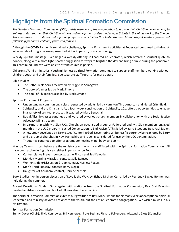## Highlights from the Spiritual Formation Commission

*The Spiritual Formation Commission (SFC) assists members of the congregation to grow in their Christian development, to enlarge and strengthen their Christian witness and to help them understand and participate in the whole work of the Church. The commission also initiates and supports programs and activities that foster the church's ministry of spiritual growth and fellowship for adults, children, youth and families.*

Although the COVID Pandemic remained a challenge, Spiritual Enrichment activities at Federated continued to thrive. A wide variety of programs were presented either in person, or via technology.

Weekly Spiritual message: We began a weekly offering in Featured at Federated, which offered a spiritual quote to ponder, along with a more light-hearted suggestion for ways to brighten the day and bring a smile during the pandemic. This continued until we were able to attend church in person.

Children's /Family ministries, Youth ministries: Spiritual Formation continued to support staff members working with our children, youth and their families. See separate staff reports for more detail.

Bible Studies:

- The Bethel Bible Series facilitated by Peggie Jo Shinagawa
- The book of James led by Mark Simone
- The book of Philippians also led by Mark Simone

Spiritual Enrichment Programs:

- Understanding communion, a class requested by adults, led by Hamilton Throckmorton and Kiersti Critchfield.
- Spirituality and the Christian Life, a four- week continuation of Spirituality 101, offered opportunities to engage in a variety of spiritual practices. It was led by Mary Senechal.
- Racial Allyship classes continued and were led by various church members in collaboration with the Social Justice Advocacy Ministry team.
- In partnership with Mt. Zion UCC Church, an equal-sized group of Federated and Mt. Zion members engaged monthly in the UCC program "Sacred Conversation to End Racism". This is led by Barry Stees and Rev. Paul Sadler.
- A new study developed by Barry Stees "Centering God, Decentering Whiteness" is currently being piloted by Barry and a group of churches in New Hampshire and is being considered for use by the UCC denomination.
- Tributaries continued to offer programs connecting mind, body, and spirit.

Ministry Teams: Listed below are the ministry teams which are affiliated with the Spiritual Formation Commission. All have been active during this year either in person or on Zoom

- Contemplative Prayer: contacts, Leslie Fincun and Susi Kawolics
- Monday Morning Miracles: contact, Sally Ramsey
- Women's Bible/Discussion Group: contact, Harriett Rogers
- Men's Third Tuesday: contact, Barry Biggin
- Daughters of Abraham: contact, Darlene Nichols

Book Studies: An in-person discussion of Love is the Way, by Bishop Michael Curry, led by Rev. Judy Bagley-Bonner was held during the summer.

Advent Devotional Guide: Once again, with gratitude from the Spiritual Formation Commission, Rev. Susi Kawolics created an Advent devotional booklet. It was also offered online.

The Spiritual Formation Commission extends our gratitude to Rev. Mark Simone for his many years of exceptional spiritual leadership and ministry devoted not only to the youth, but the entire Federated congregation. We wish him well in his retirement.

Spiritual Formation Commission,

Sunny Doxey (Chair), Silvia Kenneweg, Bill Kenneweg, Pete Bednar, Richard Falkenberg, Alexandra Ziots (Councilor)

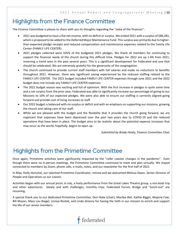## Highlights from the Finance Committee

The Finance Committee is please to share with you its thoughts regarding the "state of the finances":

- 2021 was budgeted to have a flat net income, with no deficit or surplus. We ended 2021 with a surplus of \$86,281, which is proposed to be added to the Deferred Major Maintenance Fund. This surplus was primarily due to higherthan-expected pledge receipts and reduced compensation and maintenance expenses related to the Family Life Center (FAMILY LIFE CENTER).
- 2021 pledges collected were 105% of the budgeted 2021 pledges. We thank all members for continuing to support the financial needs of the church during this difficult time. Pledges for 2022 are up 1.6% from 2021, reversing a trend seen in the past several years. This is a significant development for Federated and one that should be celebrated. We are extremely grateful for the generosity of the congregation.
- The church continued to provide current staff members with full salaries and made no reductions to benefits throughout 2021. However, there was significant saving experienced by the reduced staffing related to the FAMILY LIFE CENTER. The 2021 budget included FAMILY LIFE CENTER expenses through June 2021 and the 2022 budget does not include any FAMILY LIFE CENTER expenses.
- The 2021 budget season was exciting and full of optimism. With the first increase in pledges in quite some time and a net surplus from the prior year, Federated was able to significantly increase our percentage of giving to our Missions to 10% of our expected pledges. We were also able to ensure our staffing is correctly aligned going forward and provide cost of living increases to staff.
- Our 2022 budget is balanced with no surplus or deficit and with an emphasis on supporting our missions, growing the church and taking care of our staff.
- While we are pleased with the budget and the flexibility that it provides the church going forward, we are cognizant that expenses have been depressed over the past two years due to COVID-19 and the reduced operations that have been in place. The budget aims to be realistic about the potential expense increases that may occur as the world, hopefully, begins to open up.

*Submitted by Brady Hively, Finance Committee Chair*

## Highlights from the Primetime Committee

Once again, Primetime activities were significantly impacted by the "roller coaster changes in the pandemic". Even though there were no in-person meetings, the Primetime Committee continued to meet and plan virtually. We stayed connected to members by Zoom, phone calls, e-mails, notes, and our newsletter for the first half of 2021.

In May, Dolly Herschel, our talented Primetime Coordinator, retired and we welcomed Melissa Owen, Senior Director of People and Operations as our Liaison.

Activities began with our annual picnic in July, a lively performance from the Great Lakes Theatre group, a non-boat trip and other adventures. Slowly and with challenges, monthly trips, Federated Forum, Bridge and "lunch-out" are resuming.

A special thank you to our dedicated Primetime Committee, Don Hoke (chair), Marilee Biel, Kathie Biggin, Majorie Fow, Bill Mason, Mary Lou Riegel, Linnea Rostek, and Linda Zelazny for having the faith in our mission to enrich and support the life of our senior members.

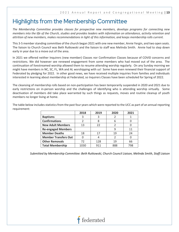## Highlights from the Membership Committee

*The Membership Committee provides classes for prospective new members, develops programs for connecting new members into the life of the Church, studies and provides leaders with information on attendance, activity retention and attrition of new members, makes recommendations in light of this information, and keeps membership rolls current.*

This 3-5 member standing committee of the church began 2021 with one new member, Annie Yergin, and two open seats. The liaison to Church Council was Beth Rutkowski and the liaison to staff was Melinda Smith. Annie had to step down early in year due to a move out of the area.

In 2021 we offered neither Inquirers (new member) Classes nor Confirmation Classes because of COVID concerns and restrictions. We did however see renewed engagement from some members who had moved out of the area. The continuation of livestreamed worship allowed them to resume attending worship regularly. On any Sunday morning we might have members in NC, SC, FL, WA and AL worshipping with us! Some have even renewed their financial support of Federated by pledging for 2022. In other good news, we have received multiple inquiries from families and individuals interested in learning about membership at Federated, so Inquirers Classes have been scheduled for Spring of 2022.

The cleansing of membership rolls based on non-participation has been temporarily suspended in 2020 and 2021 due to early restrictions on in-person worship and the challenges of identifying who is attending worship virtually. Some deactivation of members did take place warranted by such things as requests, moves and routine cleanup of youth members no longer living at home.

The table below includes statistics from the past four years which were reported to the UCC as part of an annual reporting requirement:

|                             | 2018 | 2019 | 2020 | 2021 |
|-----------------------------|------|------|------|------|
| <b>Baptisms</b>             | 3    | 3    |      |      |
| <b>Confirmations</b>        | 2    | 8    | 6    |      |
| <b>New Adult Members</b>    | 13   | 22   |      |      |
| <b>Re-engaged Members</b>   |      |      |      | 11   |
| <b>Member Deaths</b>        | 18   | 17   | 19   | 24   |
| <b>Member Transfers Out</b> | O    | 4    |      |      |
| <b>Other Removals</b>       | 72   | 128  | 19   | 66   |
| <b>Total Membership</b>     | 1030 | 911  | 888  | 798  |

*Submitted by Membership Committee: Beth Rutkowski, Church Council Liaison, Melinda Smith, Staff Liaison*

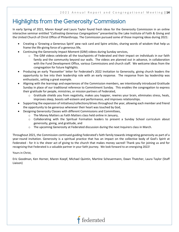## Highlights from the Generosity Commission

In early Spring of 2021, Maren Koepf and Laura Taylor found fresh ideas for the Generosity Commission in an online interactive seminar entitled "*Cultivating Generous Congregations"* presented by the Lake Institute of Faith & Giving and the United Church of Christ Office of Philanthropy. The Commission pursued some of those inspiring ideas during 2021:

- Creating a 'Growing a Generous Spirit' pew rack card and Spire articles, sharing words of wisdom that help us frame the life-giving force of a generous life,
- Continuing the Generosity Impact Moment (GIM) videos during Sunday services,
	- o The GIM videos celebrate all the touchpoints of Federated and their impact on individuals in our faith family and the community beyond our walls. The videos are planned out in advance, in collaboration with the Fund Development Office, various Commissions and church staff. We welcome ideas from the congregation for future highlights.
- Producing an early 'Pacesetter' letter for Federated's 2022 Invitation to Generosity, giving church leaders the opportunity to live into their leadership role with an early response. The response from lay leadership was enthusiastic, setting a great example.
- Aligning with the learnings and experiences of the Commission members, we intentionally introduced Gratitude Sunday in place of our traditional reference to Commitment Sunday. This enables the congregation to express their gratitude for people, ministries, or mission partners of Federated,
	- $\circ$  Gratitude shields you from negativity, makes you happier, rewires your brain, eliminates stress, heals, improves sleep, boosts self-esteem and performance, and improves relationships.
- Supporting the expansion of initiatives/collections/drives throughout the year, allowing each member and friend the opportunity to be generous whenever their heart was touched by God,
- Designing Generosity Classes with different Commissions and Committees,
	- o The Money Matters as Faith Matters class held online in January,
	- o Collaborating with the Spiritual Formation leaders to present a Sunday School curriculum about generosity, giving, and gratitude, and
	- o The upcoming Generosity at Federated discussion during the next Inquirers class in March.

Throughout 2021, the Commission continued guiding Federated's faith family towards integrating generosity as part of a year-round invitation. Generosity is a spiritual practice that has an impact on the collective body of God's Spirit at Federated - for it is the sheer act of giving to the church that makes money sacred! Thank you for joining us and for recognizing that Federated is a valuable partner in your faith journey. We look forward to an energizing 2022!

Yours in Christ,

Eric Goodman, Ken Horner, Maren Koepf, Michael Quintin, Martine Scheuermann, Dawn Thatcher, Laura Taylor (Staff Liaison)

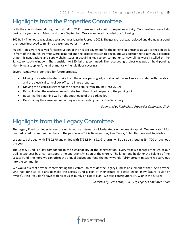### Highlights from the Properties Committee

With the church closed during the first half of 2021 there was not a lot of properties activity. Two meetings were held during the year, one in March and one is September. Work completed included the following,

102 Bell – The house was signed to a two-year lease in February 2021. The garage roof was replaced and drainage around the house improved to minimize basement water intrusion.

76 Bell – Bids were received for construction of the heated pavement for the parking lot entrance as well as the sidewalk in front of the church. Permits were acquired and the project was set to begin, but was postponed to July 2022 because of permit negotiations and supply chain issues in acquiring key system components. New blinds were installed on the Sanctuary south windows. The transition to LED lighting continued. The recarpeting project was put on hold pending identifying a supplier for environmentally friendly floor coverings.

Several issues were identified for future projects.

- Moving the eastern heated stairs from the school parking lot, a portion of the walkway associated with the stairs and the electrical control box off Larry Trace property.
- Moving the electrical service for the heated stairs from 102 Bell into 76 Bell.
- Rehabilitating the western heated stairs from the school property to the parking lot.
- Repairing the retaining wall on the south edge of the parking lot.
- Determining the cause and repainting areas of peeling paint in the Sanctuary.

*Submitted by Keith Mast, Properties Committee Chair*

### Highlights from the Legacy Committee

The Legacy Fund continues to execute on its work as stewards of Federated's endowment capital. We are grateful for our dedicated committee members of the past year – Tricia Baumgartner, Alex Taylor, Robin Harbage and Rob Goble.

We started the year with \$750,375 and ended with \$794,844 (a 9.2% return) - while also distributing \$54,700 throughout the year.

The Legacy Fund is a key component to the sustainability of the congregation. Every year we target giving 5% of our trailing two-year balance - to support the operations/mission of the church. The larger and healthier the balance of the Legacy Fund, the more we can offset the annual budget and fund the many wonderful/important missions we carry out into the community.

We would ask that anyone contemplating their estate - to consider the Legacy Fund as an element of that. And anyone who has done so or plans to make the Legacy Fund a part of their estate to please let us know (Laura Taylor or myself). Also - you don't have to think of us as purely an estate plan - we take contributions NOW or in the future!

*Submitted by Pete Franz, CFA, CFP, Legacy Committee Chair*

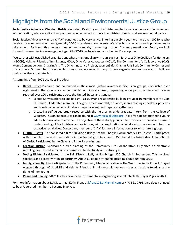## Highlights from the Social and Environmental Justice Group

**Social Justice Advocacy Ministry (SJAM)** celebrated it's sixth year of ministry and had a very active year of engagement with education, advocacy, direct support, and connecting with others in ministries of social and environmental justice.

Social Justice Advocacy Ministry (SJAM) continues to be very active. Entering our sixth year, we have over 100 folks who receive our communications and generally 20-30 attendees at our events. We offer both education and opportunities to take action! Each month a general meeting and a movie/speaker night occur. Currently meeting on Zoom, we look forward to resuming in-person gatherings with COVID protocols and a continuing Zoom option.

We partner with established organizations whose missions align with ours such as: Northeast Ohio Coalition for Homeless (NEOCH), Heights Friends of Immigrants, HOLA, Ohio Voter Advocates (NOVA), The Community Life Collaborative (CLC), Moms Demand Action , Chagrin Arts, The Ohio Innocence Project, WomenSafe, Chagrin Falls Park Community Center and many others. Our members have long histories as volunteers with many of these organizations and we want to build on their expertise and strategies.

As sampling of our 2021 activities includes:

- **Racial Justice**-Prepared and conducted multiple racial justice awareness discussion groups. Conducted over eight weeks, the groups are either secular or biblically based, depending upon participant interest. We've reached over 100 participants across the United States and Canada.
	- $\circ$  Sacred Conversations to End Racism, is a study and relationship building group of 10 members of Mt. Zion UCC and 10 Federated members. The group meets monthly on Zoom, shares readings, speakers, podcasts and tough conversations. Smaller groups have enjoyed in-person gatherings.
	- o Created a self-guided study resource with the help of an undergraduate intern from the College of Wooster. This online resource can be found at [www.racialallyship.org.](http://www.racialallyship.org/) It is a free guide targeted to young adults, but available to anyone. The objective of these study groups is to provide a historical and current understanding of Black history and racial bias, with an exploration of what each of us can do to become proactive racial allies. Contact any member of SJAM for more information or to join a future group.
- **LGTBQ+ Rights** Co Sponsored a film "Building a Bridge" at the Chagrin Documentary Film Festival. Participated with other churches and organizations in the Trans-Rights Rally held in October at the Bainbridge United Church of Christ. Participated in the Cleveland Pride Parade in June.
- **Creation Justice** Sponsored a tree planting at the Community Life Collaborative. Organized an electronic recycling day. Hosted seminar on alternatives to electricity and natural gas.
- **Voting Rights** Participated in the Fair Districts Rally at Bainbridge UCC Church in September. This involved speakers and a letter writing opportunity. About 60 people attended including about 20 from SJAM.
- **Immigration Rights** Participated with the Community Life Collaborative in The Welcome Kettle Project. Stayed engaged through HOLA, AMIS and Heights Friends of Immigrants with various issues and actions to advance the rights of immigrants.
- **Peace and Healing** SJAM leaders have been instrumental in organizing several Interfaith Prayer Vigils in 2021.

For more information about SJAM, contact Kathy Franz at [kfranz17114@gmail.com](mailto:kfranz17114@gmail.com) or 440-821-7795. One does not need to be a Federated member to become involved.

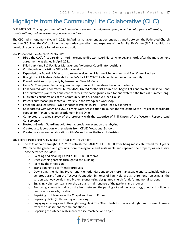## Highlights from the Community Life Collaborative (CLC)

OUR MISSION: *To engage communities in social and environmental justice by empowering untapped relationships, collaborations, and understandings across boundaries*

The CLC had a monumental year in 2021. In April, a management agreement was signed between the Federated Church and the CLC. Then the CLC took on the day-to-day operations and expenses of the Family Life Center (FLC) in addition to developing collaborations for advocacy and action.

#### CLC PROGRAM – 2021 YEAR IN REVIEW

- Hired the CLC's first part-time interim executive director, Lauri Pierce, who began shortly after the management agreement was signed in April 2021.
- Filled part-time FLC Facilities Manager and Volunteer Coordinator positions
- Continued our part-time Office Manager staff
- Expanded our Board of Directors to seven, welcoming Martine Scheuermann and Rev. Cheryl Lindsay
- Brought back Meals-on-Wheels to the FAMILY LIFE CENTER kitchen to serve our community
- Placed beehives on property by beekeeper Gene McCune
- Gene McCune presented a program on importance of honeybees to our ecosystems
- Collaborated with Federated Church SJAM, United Methodist Church of Chagrin Falls and Western Reserve Land Conservancy to plant trees and care for trees; this same group cared for and watered the trees all summer long
- Cultivated collaborations at the Community Life Collaborative Open House
- Pastor Larry Macon presented a Diversity in the Workplace workshop
- Freedom Speaker Series -- Ohio Innocence Project (OIP) Pierce Reed & exonerees
- Collaborated with SJAM and UCC's Living Water Association to launch the Welcome Kettle Project to coordinate support to Afghan refugee resettlement in NE Ohio
- Completed a species survey of the property with the expertise of Phil Kinson of the Western Reserve Land **Conservancy**
- Hosted a Garden Guardians volunteer appreciation event on the labyrinth
- Created a collaboration with students from CEVEC Vocational Schools
- Created a volunteer collaboration with Metzenbaum Sheltered Industries

### 2021 HIGHLIGHTS FOR MANAGING THE FAMILY LIFE CENTER:

- The CLC worked throughout 2021 to refresh the FAMILY LIFE CENTER after being mostly shuttered for 3 years. We made the garden and grounds more manageable and sustainable and repaired the property as necessary. Those activities included:
	- o Painting and cleaning FAMILY LIFE CENTER rooms
	- o Deep cleaning carpets throughout the building
	- o Painting the street sign
	- o Transitioning to eco-friendly products
	- $\circ$  Downsizing the Norling Prayer and Memorial Gardens to be more manageable and sustainable using a generous grant from the Tecovas Foundation in honor of Paul Neidhardt's retirement; replacing all the garden pathway borders and broken stones using designated church funds for memorial gardens
	- $\circ$  Engaging volunteer teams for the care and maintenance of the gardens and grounds
	- $\circ$  Removing an unsafe bridge on the lawn between the parking lot and the large playground and building a new one in a nearby location
	- o Repairing roof leaks over the Chapel and Hearth Room
	- o Repairing HVAC (both heating and cooling)
	- $\circ$  Engaging an energy audit through Energility & The Ohio Interfaith Power and Light; improvements made from the assessment recommendations
	- o Repairing the kitchen walk-in freezer, ice machine, and dryer

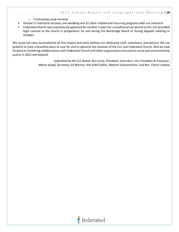*.*

- o Contracting snow removal
- Hosted 11 memorial services, one wedding and 32 other related and recurring programs with use contracts
- Federated Church was unanimously approved for another 5 years for a conditional use permit (CUP). CLC provided legal counsel to the church in preparation for and during the Bainbridge Board of Zoning Appeals meeting in October.

We could not have accomplished all this impact and work without our dedicated staff, volunteers, and donors! We are grateful to have a beautiful place to care for and to advance the missions of the CLC and Federated Church. And we look forward to furthering collaborations with Federated Church and other organizations focused on social and environmental justice in 2022 and beyond.

> *Submitted by the CLC Board: Ann Lentz, President; Anne Burr, Vice President & Treasurer; Maren Koepf, Secretary; Ed Weston, Kim Kidd-Collins, Martine Scheuermann, and Rev. Cheryl Lindsay*

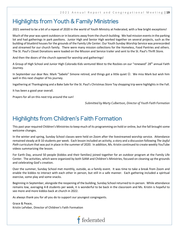## Highlights from Youth & Family Ministries

2021 seemed to be a bit of a repeat of 2020 in the world of Youth Ministry at Federated, with a few bright exceptions!

Much of the year was spent outdoors or in locations away from the church building. We had mission events in the parking lot and had gatherings in park pavilions. Junior High and Senior High worked together on several projects, such as the building of bluebird houses for the grounds of the Family Life Center. Our Youth Sunday Worship Service was prerecorded and streamed for our church family. There were many mission collections for the Homeless, Food Pantries and others. The St. Paul's Closet Donations were loaded on the Mission and Service trailer and sent to the St. Paul's Thrift Store.

And then the doors of the church opened for worship and gatherings!

A Group of High School and Junior High Colorado Kids ventured West to the Rockies on our "renewed" 28<sup>th</sup> annual Faith Journey.

In September our dear Rev. Mark "Sabelo" Simone retired, and things got a little quiet  $\odot$ . We miss Mark but wish him well in this next chapter of his journey.

Ingathering at Thanksgiving and a Bake Sale for the St. Paul's Christmas Store Toy shopping trip were highlights in the Fall.

It has been a good year overall.

Prayers for all on this next trip around the sun!

*Submitted by Marty Culbertson, Director of Youth Faith Formation* 

## Highlights from Children's Faith Formation

This past year required Children's Ministries to keep much of its programming on hold or online, but the fall brought some welcome changes.

In the winter and spring, Sunday School classes were held on Zoom after the livestreamed worship service. Attendance remained steady at 8-10 students per week. Each lesson included an activity, a story and a discussion following *The Joyful Path* curriculum that was put in place in the summer of 2020. In addition, Ms. Kristin continued to create weekly YouTube videos summarizing the lesson.

For Earth Day, around 50 people (kiddos and their families) joined together for an outdoor program at the Family Life Center. The activities, which were organized by both SJAM and Children's Ministries, focused on cleaning up the grounds and celebrating God's creation.

Over the summer, Sunday School met monthly, outside, as a family event. It was time to take a break from Zoom and enable the kiddos to interact with each other in person, but still in a safe manner. Each gathering included a spiritual exercise, some play and some snacks.

Beginning in September, alongside the reopening of the building, Sunday School returned to in-person. While attendance remains low, averaging 4-8 students per week, it is wonderful to be back in the classroom and Ms. Kristin is hopeful to see more and more kiddos back at church in 2022.

As always thank you for all you do to support our youngest congregants.

Grace & Peace, Kristin LeFeber, Director of Children's Faith Formation

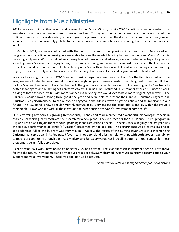### Highlights from Music Ministries

2021 was a year of incredible growth and renewal for our Music Ministry. While COVID continually made us retool how we safely made music, our various groups proved resilient. Throughout the pandemic, we have found ways to continue to fill our services with a wide variety of music, grow our programs, and open the doors to our community in ways never seen before. I am immeasurably grateful to the many musicians and volunteers who join together to create music every week.

In March of 2021, we were confronted with the unfortunate end of our previous Sanctuary piano. Because of our congregation's incredible generosity, we were able to raise the needed funding to purchase our new Mason & Hamlin concert grand piano. With the help of an amazing team of musicians and advisors, we found what is perhaps the greatest sounding piano I've ever had the joy to play. It is simply stunning and never in my wildest dreams did I think a piano of this caliber could be at our church! To be able to glorify God with such an incredible instrument, alongside our amazing organ, in our acoustically marvelous, renovated Sanctuary: I am spiritually moved beyond words. Thank you!

We are all evolving to cope with COVID and our music groups have been no exception. For the first five months of the year, we were limited to vocal quartets, sometimes eight singers, or even soloists. I was delighted to see the full Choir back in May and then even fuller in September! The group is as connected as ever, still rehearsing in the Sanctuary to better space apart, and humming with creative vitality. Our Bell Choir returned in September after an 18-month hiatus, playing at three services last fall with more planned in the Spring (we would love to have more ringers, by the way!). The Children's Choir showed strong throughout the year and were able to present their annual Christmas pageant and Christmas Eve performances. To see our youth engaged in the arts is always a sight to behold and so important to our future. The RISE Band is now a regular monthly feature at our services and the camaraderie and joy within the group is remarkable. I love working with all these groups and experiencing everyone's involvement come to life.

Our Performing Arts Series is growing tremendously! Randy and Marcia presented a wonderful piano/organ concert in March 2021 which greatly motivated our search for a new piano. They returned for the "Our Piano Future" program in July and I can't wait to join them for our upcoming Piano Dedication Concert. A special, special highlight of last year was the sold-out performance of Handel's "Messiah" presented by Apollo's Fire. The performance was breathtaking and to see Federated full to the last row was very moving. We saw the return of the Burning River Brass in a mesmerizing Christmas concert as well! As Federated favorites, I hope to rekindle lasting relationships with both groups. Our ability to reach our community through our music ministry and Sanctuary venue has incredible potential. Your support for these programs is delightfully appreciated!

As exciting as 2021 was, I have rekindled hope for 2022 and beyond. I believe our music ministry has been built to thrive far into the future. New members to any of our groups are always welcomed. Our music ministry blossoms due to your support and your involvement. Thank you and may God bless you.

*Submitted by Joshua Konow, Director of Music Ministries*

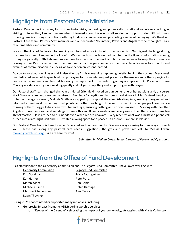## Highlights from Pastoral Care Ministries

Pastoral Care comes in so many forms from Pastor visits, counseling and phone calls to staff and volunteers checking in, visiting, note writing, keeping our members informed about life events, all serving as support during difficult times, ushering families through transitions, offering kindness, compassion and promoting a sense of belonging. We thank our Pastoral Care team: Pastors, Staff members and our dedicated Volunteers, Prayers and Angels for their thoughtful care of our members and community.

We also thank all of Federated for keeping us informed as we inch out of the pandemic. Our biggest challenge during this time has been 'keeping in the know'. We realize how much we had counted on the flow of information coming through organically – 2021 showed us we have to expand our network and find creative ways to keep the information flowing so our Pastors remain informed and we can all properly serve our members. Look for new touchpoints and avenues of communication in 2022 as we take action on lessons learned.

Do you know about our Prayer and Praise Ministry? It is something happening quietly, behind the scenes: Every week our dedicated group of Prayers hold us up, praying for those who request prayer for themselves and others, praying for peace in our community and beyond, honoring the requests of those preferring anonymous prayer. Our Prayer and Praise Ministry is a dedicated group, working quietly and diligently, uplifting and supporting us with prayer.

Our Pastoral staff team changed this year as Kiersti Critchfield moved on pursue her one of her passions and, of course, Mark Simone retired (you are dearly missed). Rev. Judy Bagley-Bonner has been hard at work in Mark's stead, helping us to better manage our reach; Melinda Smith has stepped up to support the administrative piece, keeping us organized and informed as well as documenting touchpoints and often reaching out herself to check in or let people know we are thinking of them. Peggie Jo has been my tutor and sage, ensuring nothing and no one is missed. PJS, along with the other Angels ensures memorials and weddings run smoothly and flowers are delivered every week. Then there is Rev. Hamilton Throckmorton. He is attuned to our needs even when we are unaware – very recently what was a mistaken phone call turned into a late-night visit and HCT created a loving space for a peaceful transition. We are so blessed.

Our Pastoral Care Team is here to serve Federated and our community. We are always looking for new ways to reach you. Please pass along any pastoral care needs, suggestions, thoughts and prayer requests to Melissa Owen, [mowen@fedchurch.org.](mailto:mowen@fedchurch.org). We are here for you!

*Submitted by Melissa Owen, Senior Director of People and Operations*

### Highlights from the Office of Fund Development

As a staff liaison to the Generosity Commission and The Legacy Fund Committee, I have loved working with:

Generosity Commission Legacy Fund Committee Eric Goodman Tricia Baumgartner Ken Horner **Pete Franz** Maren Koepf **Rob Goble** Rob Goble Michael Quintin **Robin Harbage** Martine Scheuermann Martine Scheuermann Dawn Thatcher

During 2021 I coordinated or supported many initiatives, including:

- Generosity Impact Moments (GIM) during worship services
	- o "Keeper of the Calendar" celebrating the impact of your generosity, strategized with Marty Culbertson

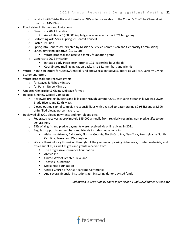- o Worked with Trisha Holland to make all GIM videos viewable on the Church's YouTube Channel with their own GIM Playlist
- Fundraising Initiatives and Invitations
	- o Generosity 2021 Invitation
		- An additional ~\$50,000 in pledges was received after 2021 budgeting
	- o Performing Arts Series Spring'21 Benefit Concert
	- o Easter Lily Fund
	- o Spring into Generosity (directed by Mission & Service Commission and Generosity Commission)
	- o Sanctuary Piano Initiative (\$126,700+)
		- **Wrote proposal and received family foundation grant**
	- o Generosity 2022 Invitation
		- **Initiated early Pacesetter letter to 105 leadership households**
		- Coordinated mailing Invitation packets to 632 members and friends
- Wrote Thank You letters for Legacy/General Fund and Special Initiative support, as well as Quarterly Giving Statement letters
- Wrote proposals and received grants
	- o for Loaves & Fishes Ministry
	- o for Parish Nurse Ministry
- Updated Generosity & Giving webpage format
	- Rejoice & Renew Capital Campaign
		- $\circ$  Reviewed project budgets and bills paid through Summer 2021 with Janis Stefanchik, Melissa Owen, Brady Hively, and Keith Mast.
		- $\circ$  Closed out my capital campaign responsibilities with a raised-to-date totaling \$2.956M and a 2.39% unfulfilled pledge percentage rate.
	- Reviewed all 2021 pledge payments and non-pledge gifts
		- o Federated receives approximately \$45,000 annually from regularly recurring non-pledge gifts to our general fund
		- $\circ$  23% of all gifts and pledge payments were received via online giving in 2021
		- o Regular support from members and friends includes households in
			- Alabama, Arizona, California, Florida, Georgia, North Carolina, New York, Pennsylvania, South Carolina, Texas, and Washington
		- $\circ$  We are thankful for gifts-in-kind throughout the year encompassing video work, printed materials, and office supplies, as well as gifts and grants received from:
			- **The Progressive Insurance Foundation**
			- **Abbvie Inc.**
			- United Way of Greater Cleveland
			- Tecovas Foundation
			- Deaconess Foundation
			- United Church of Christ Heartland Conference
			- And several financial institutions administering donor-advised funds

*- Submitted in Gratitude by Laura Piper Taylor, Fund Development Associate*

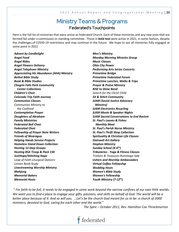### Ministry Teams & Programs Federated's Touchpoints

Here is the full list of ministries that were active at Federated Church. Each of these ministries and any new ones that are formed fall under a commission or standing committee. Those in **bold text** were active in 2021, in some fashion, despite the challenges of COVID-19 restrictions and may continue in the future. We hope to see all ministries fully engaged at some point in 2022.

*Advent by Candlelight Angel Food Angel Rides Angel Flowers Delivery Angel Telephone Ministry Appreciating His Abundance (AHA) Ministry Bethel Bible Study Book & Bible Studies Chagrin Falls Park Community Center Collections Children's Choir Colorado Trip Faith Journey Communion Classes Communion Ministry to the Confined Contemplative Prayer Daughters of Abraham Family Ministries Federated Bell Choir Federated Choir Fellowship of Prayer Note Writers Friends of Nicaragua Helping Hands Service Projects Homeless Stand Down Collection Hosting 12-Step Groups Hosting BSA Troop & Pack 150 JustHope/Stitching Hope Leap of Faith Liturgical Dancers Lenten Book Study Livestreaming Worship Ministry Mahjong Memorial Bakers Memorial Hosts*

*Men's Ministry Monday Morning Miracles Group Music Classes Ohio City Power Performing Arts Series Concerts Primetime Bridge Primetime Federated Forum Primetime Lunches, Walks & Trips Prayer & Praise Ministry RISE to Shine Band Search for the Christ Child Sit & Stitch Community SJAM (Social Justice Advocacy Ministry) SJAM Electronics Recycling SJAM Movie & Speaker Nights SJAM Sacred Conversations to End Racism St. Paul's Loaves & Fishes Monthly Meal St. Paul's Parish Nurse Ministry St. Paul's Thrift Shop Collection Spirituality & Christian Life Classes Stairwell Art Gallery Stephen Ministry Sunday School (K-6th) Tributaries - Yoga & Fitness Classes Trinkets & Treasures Rummage Sale Ushers and Worship Ambassadors Virtual Coffee Fellowship Wedding Hosts Women's Bible Study Women's Fellowship Youth Ministry (7-12th)*

*" For faith to be full, it needs to be engaged in some work beyond the narrow confines of our own little worlds. We want you to find a place to engage your gifts, passions, and skills on behalf of God. The world will be a better place because of it. And so will you. …Let's be the church God meant for us to be: a church of 2000 ministers, devoted to God, caring for each other and the world."*

 *The Spire – October 2011, Rev. Hamilton Coe Throckmorton* 

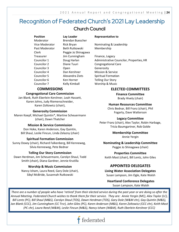### Recognition of Federated Church's 2021 Lay Leadership Church Council

**Position Lay Leader Representative to** Moderator Brendan Buescher Past Moderator Beth Rutkowski Membership Clerk Peggie Jo Shinagawa Treasurer Jim Cunningham Finance, Legacy Councilor 2 **Diane Tuuri** Congregational Care Councilor 3 Open Generosity Councilor 4 Dan Kershner Mission & Service Councilor 5 Alexandra Ziots Spiritual Formation Councilor 6 Ken Horner Telling Our Story Councilor 7 Kelly Kimball Morship & Music

### **COMMISSIONS**

#### **Congregational Care Commission**

Jan Blank, Ruth Eberlein-Kershner, Leah Hassett, Karen Johns, Judy Riemenschneider, Karen Zoltowicz (chair),

#### **Generosity Commission**

Maren Koepf, Michael Quintin\*, Martine Scheuermann (chair), Dawn Thatcher

#### **Mission & Service Commission**

Don Hoke, Karen Anderson, Gay Quintin, Bill Shaul, Leslie Fincun, Linda Zelazny (chair)

#### **Spiritual Formation Commission**

Sunny Doxey (chair), Richard Falkenberg, Bill Kenneweg, Silvia Kenneweg, Pete Bednar

#### **Telling Our Story Commission**

Dawn Herdman, Jim Scheuermann, Carolyn Shaul, Todd Smith (chair), Diana Gardner, Jennie Krutilla

#### **Worship & Music Commission**

Nancy Isham, Laura Reed, Gary Dole (chair), Sibyl McBride, Susannah Rutkowski

Vice Moderator Rick Bryan Nominating & Leadership

Councilor 1 Doug Harlan Administrative Councilor, Properties,HR

### **ELECTED COMMITTEES**

**Finance Committee** Brady Hively (chair)

#### **Human Resources Committee**

Chris Bednar, Bill Franz (chair), Phil Fogarty, Dave Watterson

#### **Legacy Committee**

Peter Franz (chair), Alex Taylor, Robin Harbage, Tricia Baumgartner, Rob Goble

**Membership Committee**

Annie Yergin

### **Nominating & Leadership Committee**

Peggie Jo Shinagawa (chair)

**Properties Committee**

Keith Mast (chair), Bill Lentz, John Giles

### **APPOINTED DELEGATES**

#### **Living Water Association Delegates**  Susan Lampson, Jim Ogle, Kate Walsh

### **Heartland Conference Delegates** Susan Lampson, Kate Walsh

  *There are a number of people who have 'retired' from their elected service during the past year or are doing so after the Bill Lentz (PC), Bill Shaul (M&S), Carolyn Shaul (TOS), Dawn Herdman (TOS), Gary Dole (W&M chr), Gay Quintin (M&S), Annual Meeting. Federated Church wishes to thank them for their service. They are: Annie Yergin (MC), Alex Taylor (LC), Jan Blank (CCC), Jim Cunningham (CC Trsr), John Giles (PC), Karen Anderson (M&S), Karen Zoltowicz (CCC chr), Keith Mast (PC chr), Laura Reed (W&M), Leslie Fincun (M&S), Nancy Isham (W&M), Ruth Eberlein-Kershner (CCC)*

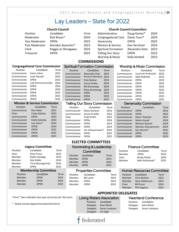### Lay Leaders – Slate for 2022

**COMMISSIONS**

Spiritual Formation Commission *Position Candidate Term* Commissioner Alexandra Ziots 2023 Commissioner Richard Falkenberg 2023 Commissioner Pete Bednar 2023 Commissioner Sunny Doxey 2024 Commissioner Bill Kenneweg 2024 Commissioner Silvia Kenneweg 2024 Commissioner OPEN 2025 Commissioner OPEN 2025 Commissioner OPEN 2025

Telling Our Story Commission *Position Candidate Term* Commissioner Diana Gardner 2023 Commissioner Jennie Krutilla 2023 Chair Todd Smith 2023 Commissioner OPEN 2024 Commissioner OPEN 2024 Commissioner OPEN 2024 Commissioner Jim Scheuermann\* 2025 Commissioner OPEN 2025

#### **Church Council**

| Position       |  |
|----------------|--|
| Moderator      |  |
| Vice Moderator |  |
| Past Moderator |  |
| Clerk          |  |
| Treasurer      |  |

| Position       | Candidate           | Term |
|----------------|---------------------|------|
| Moderator      | Rick Bryan*         | 2024 |
| Vice Moderator | <b>OPEN</b>         | 2025 |
| Past Moderator | Brendan Buescher*   | 2023 |
| Clerk          | Peggie Jo Shinagawa | 2024 |
| Treasurer      | <b>OPEN</b>         | 2025 |
|                |                     |      |

### **Church Council Councilors**

| Administrative             | Doug Harlan*    | 2024 |
|----------------------------|-----------------|------|
| <b>Congregational Care</b> | Diane Tuuri*    | 2024 |
| Generosity                 | <b>OPEN</b>     | 2025 |
| Mission & Service          | Dan Kershner    | 2024 |
| <b>Spiritual Formation</b> | Alexandra Ziots | 2023 |
| <b>Telling Our Story</b>   | <b>OPEN</b>     | 2023 |
| Worship & Music            | Kelly Kimball   | 2023 |

#### **Congregational Care Commission**

| Position     | Candidate            | Term |
|--------------|----------------------|------|
| Commissioner | Karen Johns          | 2023 |
| Commissioner | Leah Hassett         | 2023 |
| Commissioner | OPEN                 | 2023 |
| Commissioner | Judy Riemenschneider | 2024 |
| Commissioner | <b>OPEN</b>          | 2024 |
| Commissioner | <b>OPEN</b>          | 2024 |
| Commissioner | OPEN                 | 2025 |
| Commissioner | <b>OPEN</b>          | 2025 |
| Commissioner | OPEN                 | 2025 |

#### **Mission & Service Commission**

| Position     | Candidate     | Term |
|--------------|---------------|------|
| Commissioner | Don Hoke      | 2023 |
| Chair        | Linda Zelazny | 2023 |
| Commissioner | <b>OPEN</b>   | 2023 |
| Commissioner | Kathy Kolcaba | 2024 |
| Commissioner | Lee Johns*    | 2024 |
| Commissioner | <b>OPEN</b>   | 2024 |
| Commissioner | <b>OPEN</b>   | 2025 |
| Commissioner | <b>OPEN</b>   | 2025 |
| Commissioner | <b>OPEN</b>   | 2025 |

### Commissioner OPEN 2025 **ELECTED COMMITTEES**

|                                                           | <b>Legacy Committee</b>                                                                     |                                              |                                        | Nominating & Leadership                                      |                              |
|-----------------------------------------------------------|---------------------------------------------------------------------------------------------|----------------------------------------------|----------------------------------------|--------------------------------------------------------------|------------------------------|
| Position<br>Chair<br>Member<br>Member<br>Member<br>Member | Candidate<br>Peter Franz<br>Robin Harbage<br>Rob Goble<br>Tricia Baumgartner<br><b>OPEN</b> | Term<br>2023<br>2023<br>2024<br>2024<br>2025 | Position<br>Member<br>Member<br>Member | Committee<br>Candidate<br><b>OPEN</b><br><b>OPEN</b><br>OPFN | Term<br>2023<br>2024<br>2025 |
|                                                           | <b>Membership Committee</b>                                                                 |                                              |                                        | <b>Properties Committee</b>                                  |                              |

### Properties Committee

 $Term$ 

**APPOINTED DELEGATES**

| Position | Candidate         | Term |
|----------|-------------------|------|
| Member   | <b>Bill Lentz</b> | 2024 |
| Member   | <b>OPEN</b>       | 2024 |
| Member   | <b>OPEN</b>       | 2025 |
|          |                   |      |

### Worship & Music Commission

| Position     | Candidate          | Term |
|--------------|--------------------|------|
| Commissioner | Susannah Rutkowski | 2023 |
| Commissioner | Sibyl McBride      | 2023 |
| Commissioner | <b>OPEN</b>        | 2023 |
| Commissioner | <b>OPEN</b>        | 2024 |
| Commissioner | <b>OPEN</b>        | 2024 |
| Commissioner | <b>OPEN</b>        | 2024 |
| Commissioner | <b>OPEN</b>        | 2025 |
| Commissioner | <b>OPEN</b>        | 2025 |
| Commissioner | OPEN               | 2025 |

#### Generosity Commission

| Position     | Candidate              | Term |
|--------------|------------------------|------|
| Commissioner | <b>OPEN</b>            | 2023 |
| Commissioner | <b>OPEN</b>            | 2023 |
| Commissioner | Dawn Thatcher          | 2023 |
| Commissioner | Maren Koepf            | 2024 |
| Commissioner | <b>Michael Quintin</b> | 2024 |
| Commissioner | Martine Scheuermann    | 2024 |
| Commissioner | Ken Horner*            | 2025 |
| Commissioner | <b>OPEN</b>            | 2025 |
| Commissioner | <b>OPEN</b>            | 2025 |

### Finance Committee

| Position | Candidate           | Term |
|----------|---------------------|------|
| Member   | OPEN                | 2023 |
| Chair    | <b>Brady Hively</b> | 2024 |
| Member   | Beth Rutkowski*     | 2025 |
|          |                     |      |

#### Human Resources Committee

| Position | Candidate           | Term |
|----------|---------------------|------|
| Member   | Chris Bednar        | 2023 |
| Member   | Dave Watterson      | 2023 |
| Chair    | <b>Bill Franz</b>   | 2024 |
| Member   | <b>Phil Fogarty</b> | 2024 |

#### *"Term" Year indicates last year of service for this term.*

*Position Candidate Term* Member OPEN 2023 Member OPEN 2024 Member OPEN 2025

*\* Newly elected appointment/position/term*

*Position Candidate* Delegate Kate Walsh Delegate Susan Lampson

Living Waters Association



### Heartland Conference

| Position | Candidate     |
|----------|---------------|
| Delegate | Kate Walsh    |
| Delegate | Susan Lampson |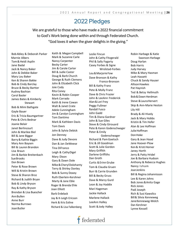### 2022 Pledges

We are grateful to those who have made a 2022 financial commitment to God's Work being done within and through Federated Church. "God loves it when the giver delights in the giving."

Bob Abley & Deborah Parker Marnie Albers Tom & Heidi Asplin Jane Badal Jack & Nancy Baker John & Debbie Baker Mary Lou Baker Ken & Sharen Bakke Bob & Cindy Barclay Bruce & Becky Bartter Audrey Bashian Carol Basler James Bates & Kimberly Stewart Bob & Mimi Bathgate Gayle Bauer Eric & Tricia Baumgartner Pete & Chris Bednar Joanie Belair Janet Berlincourt John & Marilee Biel Bill & Jane Biggar Barry & Kathie Biggin Mary Ann Boysen Bill & Lauren Brandon Lisa Braun Jim & Barbie Breitenbach SueBrooks Don Brown Peter & Rose Brown Will & Kristin Brown Steve & Sharon Broz Richard & Judith Bryan Bob & Lindy Bryson Ray & Kathy Bryson Brendan & Lisa Buescher AnnBullen Anne Burr Norma Burrows JoanButler

Keith & Megan Campbell Mark & Suzanne Carle Nancy Carpenter Becky Carter Jim & Carole Carter Bill & Judie Caster Doug & Barb Church George & Ruth Clemens John & Elizabeth Click Joie Cody Rita Coney Kevin & Robin Cooper Mark Corrado Keith & Irene Cowan Walt & Janet Crate Adele Cunningham Jim & Carolyn Cunningham Tom Dantimo Mark & Kathleen Davis Tom Davis John & Sylvia Debick Jon Denney Dave & Judy Devore Dan & Jan DeWeese Tina DiFranco Leigh & CathyDigel Mary Dixon Gary & Dawn Dole Mike & Cheryl Dolohanty Terry & Shirley Donley Bob & Sunny Doxey Ruth Eberlein-Kershner Marty & Jane Eble Roger & Brenda Ehle Joan Elliott Barb Erdelack Jay & K-Leigh Ericson Herk & Kris Exline Richard & Lisa Falkenberg

Leslie Fincun John & Cathy Fitzgerald Phil & Sally Fogarty Casey Forbes & Signe Wrolstad-Forbes Lou & Marjorie Fow Dave Bronson & Kathy Franco-Bronson Bill & Kathy Franz Pete & Molly Franz Dave & Chris Frazier John & LeeAnn Frederick Alan&Lori Frey Peggy Fullmer Randall Fusco John Gadd Tim & Diana Gardner John & Sue Giles Steve & Cindy Girouard Pete & Karen Godenschwager Peter & Emily Godenschwager Richard & Pam Goetsch Eric & Jill Goodman Scott & Julie Gordon Mary Griffith Darlene Griffiths Dan Groth Curtis & Erinn Grube Tom & Claudia Gruen Burr & Carrie Grunden Bill & Becky Gruss Dave & Marcy Gurd Leon & Joy Haddix Mari Hageman Jackie Hallack Marlene Hallack LeeAnn Halley Scott & Jody Halley

**t** federated

Robin Harbage & Katie Swanson-Harbage Doug Harlan Bob Harris Judy Harvey Mike & Mary Hasman Leah Hassett Chuck & Sandy Hauser Allison Hawkes Pat Haynish Ted & Betsy Hellmuth Bob & Dawn Herdman Steve & Laura Hervert Skip & Ann-Marie Heston Lily Hill Brady & Ali Hively Jack & Mary Hobbs Kristin & Tim Hofer Alan & Lee Hoffman Julie Hoffman DonHoke Gary & Jean Hood Jane Hoover-Plow Ken & Kristi Horner Janey Horth Jerry & Patty Hridel Joe & Barbara Hudson Anthony & Rebecca Hughes Nancy Isham **JoanJenkins** Bill & Regina Johannisson Lee & Karen Johns Bob Jones & Anita Gage Rick Jones Padi Joseph Rich & Susi Kawolics Bill & Silvia Kenneweg JaneKenneweg-Welch Dan Kershner Lynne Kessell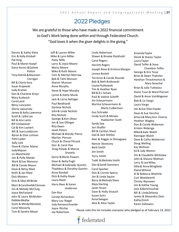### 2022 Pledges

We are grateful to those who have made a 2022 financial commitment to God's Work being done within and through Federated Church. "God loves it when the giver delights in the giving."

Dennis & Kathy Kieta Eric & Kelly Kimball Pat King Paul & Maren Koepf Dana Korosi & Gylene Pelton Tony Kotnik&Maureen Corrigan Bill & Cherly Koza Susan Krajewski Judy Kramer Don & Charlene Krejci Mary Kudasick CarolLaird Betsy Lancaster Gloria Lapsansky Jamey & Kelly Lawrence Scott & Lydia Lax Bill & Ann Lentz Bill Lineweaver Cal & Kim Lockert Bill & SueLundstrom Byron & Elsie Lutman Patti Lyden Sally Lyle Dave& Elaine Maine JudyMajcen Liz Manchester Jon & Polly Manke Mark & Sue Mansour Bill & Carole Mason Dave & Betsy Mast Keith & Jan Mast Dick Masters Dick & Sibyl McBride Mort & CarolineMcClennan Jim & Melody McClurg Joyce McFarland John & Laura McMullen DebbieMedlar Scott & Mindy Meneely Carol Messerly Tom & Sandra Meyer

Jeff & Lauren Miller Mike & Lynn Miller Patty Mills Larry & Joyce Moore Marty Moore Mike & Ruth Moore Tom & Merilyn Morrow Bob & Tami Munson Sharon Munson Anne Murphy Steve & Hope Murphy Lynne & Kathy Muzik Jack & Lorna Nafziger Paul Neidhardt Darlene Nichols John & Linda Nichols Rita Nichols George & Kim Oliver Jim & Sue Ollinger Rita Owen Janet Peters Michael & Wendy Pierce Marilyn Pierson Chuck & Cheryl Pitcock Don & Carol Poe Greg Polyak & Marcia Snavely Gerry & Marie Powers Dave & Betty Pugh Michael &Gabrielle Quintin Thaddeus & Dorothy Quintin Anne Randall Dick & Kathy Rayer Laura Reed Harry Rees & Karen Anderson Don Rice Carolyn Richardson Mary Lou Riegel Judy Riemenschneider Joyce Ritchie

Joy Robertson

Linda Robertson Shawn & Brooke Rockhold Carol Rogers Harriett Rogers Joseph Rose & Kristina Morgan Linnea Rostek Terrence & Carole Rounds Bob & Beth Rutkowski Louise Rutkowski Tim & Heather Ryan Bill & B.J.Schatz Paul & Valerie Schefft Jim Scheuermann Martine Scheuermann & Marty Culbertson Gus Schrader Cindy Scott & Miriam Huebscher-Scott Sandy See Jeri Shaffer Bill & Carolyn Shaul Gail & Jack Shelley Alan & Peggie Jo Shinagawa Nancie Skonezny Barb Smith Jim Smith Terry Smith Todd & Melinda Smith Dan & Sandi Sommers Carol Sparker Don & Connie Sperry Jim & Linda Squire Barry & Melinda Stees Myia Sterling Janet Strain Dave & Holly Strauch Susan Sulcs AnneSwegan Alex & Alice Taylor

AmandaTaylor Derek & Stacey Taylor LauraTaylor David Telfer & llona Chambre-Telfer George & Kris Tesar Brian & Dawn Thatcher Hamilton Throckmorton & Mary Senechal Brian & Julie Tutkovics Diane Tuuri & Ward Pierson David & Anne VanWagoner Bob & Liz Vargo Laura Vargo Joe &Sue EllenVayda Dean & Sue Vecchio Arturo & Mary Ann Viveros Heather Wagley Don & Carole Wakeman Kristen Walenga Mike&Kate Walsh Rannigan Walsh Dave & Cathy Watterson Doug Welling Kay Wellman Ed & Judy Weston Jim & Claudette Whitelaw John & Shauna Widman Larry & LeeWiley Ollie & AnneWingfield ElaineWitmer Al & Rebecca Woehrle Curt Woodworth Christy Wynveen Jim & Kathie Young Jack &BarbYoushak Bill & LindaZelazny James & Alexandra Ziots KathyZmich Karen Zoltowicz



Please note this list includes everyone who pledged as of February 14, 2022.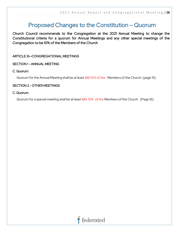### Proposed Changes to the Constitution – Quorum

Church Council recommends to the Congregation at the 2021 Annual Meeting to change the Constitutional criteria for a quorum for Annual Meetings and any other special meetings of the Congregation to be 10% of the Members of the Church

### ARTICLE XI—CONGREGATIONAL MEETINGS

### SECTION 1 - ANNUAL MEETING

### C. Quorum:

Quorum for the Annual Meeting shall be at least 100 10% of the Members of the Church. (page 15)

### SECTION 2 - OTHER MEETINGS

#### C. Quorum:

Quorum for a special meeting shall be at least  $100$  10% of the Members of the Church (Page 16)

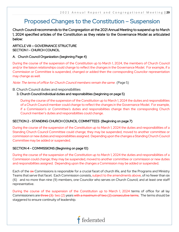## Proposed Changes to the Constitution – Suspension

Church Council recommends to the Congregation at the 2021 Annual Meeting to suspend up to March 1, 2024 specified articles of the Constitution as they relate to the Governance Model as articulated below:

### ARTICLE VIII - GOVERNANCE STRUCTURE SECTION 1 - CHURCH COUNCIL

### A. Church Council Organization (beginning Page 4)

During the course of the suspension of the Constitution up to March 1, 2024, the members of Church Council and/or the liaison relationships could change to reflect the changes in the Governance Model. For example, if a Commission or Committee is suspended, changed or added then the corresponding Councilor representation may change as well.

Note: The terms of office for Church Council members remain the same. (Page 5)

### B. Church Council duties and responsibilities

### 3. Church Council individual duties and responsibilities (beginning on page 5)

During the course of the suspension of the Constitution up to March 1, 2024 the duties and responsibilities of a Church Council member could change to reflect the changes in the Governance Model. For example, if a Commission's or Committee's duties and responsibilities change then the corresponding Church Council member's duties and responsibilities could change.

### SECTION 2 - STANDING CHURCH COUNCIL COMMITTEES (Beginning on page 7)

During the course of the suspension of the Constitution up to March 1, 2024 the duties and responsibilities of a Standing Church Council Committee could change; they may be suspended, moved to another committee or commission or new duties and responsibilities assigned. Depending upon the changes a Standing Church Council Committee may be added or suspended.

### SECTION 4 - COMMISSIONS (Beginning on page 10)

During the course of the suspension of the Constitution up to March 1, 2024 the duties and responsibilities of a Commission could change; they may be suspended, moved to another committee or commission or new duties and responsibilities assigned. Depending upon the changes a Commission may be added or suspended.

Each of the six Commissions is responsible for a crucial facet of church life, and for the Programs and Ministry Teams that serve that facet. Each Commission consists, subject to the amendments above, of no fewer than six (6) and no more than nine (9) members, one Councilor who serves on Church Council, and at least one staff representative.

During the course of the suspension of the Constitution up to March 1, 2024 terms of office for all lay Commissioners ar<del>e three (3)</del> two (2) years <del>with a maximum of two (2) consecutive terms</del>. The terms should be staggered to ensure continuity of leadership.

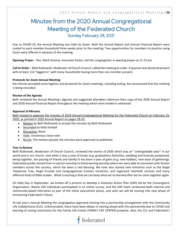## Minutes from the 2020 Annual Congregational Meeting of the Federated Church Sunday February 28, 2021

Due to COVID-19, the Annual Meeting was held via Zoom. Both the Annual Report and Annual Financial Report were mailed to each member-household three weeks prior to the meeting. Two opportunities for members to practice using Zoom were offered in advance of the meeting.

**Opening Prayer** – Rev. Mark Simone, Associate Pastor, led the congregation in opening prayer at 11:15 pm

**Call to Order** – Beth Rutkowski, Moderator of Church Council, called the meeting to order. A quorum was declared present with at least 114 "logged-in" with many households having more than one member present.

#### **Protocols for Zoom Annual Meeting**

Ken Horner provided some logistics and protocols for Zoom meetings, including voting. Ken announced that the meeting is being recorded.

#### **Review of the Agenda**

Beth reviewed the Annual Meeting's Agenda and suggested attendees reference their copy of the 2020 Annual Report and 2020 Annual Financial Report throughout the meeting which were mailed in advanced.

#### **Approval of Minutes**

Beth moved to approve the minutes of 2019 Annual Congregational Meeting for the Federated Church on February 23, 2020, as printed in 2020 Annual Report on pages 28-33.

- Motion by Beth Rutkowski to accept the minutes by Beth Rutkowski
- Seconded by Kelly Kimball
- Discussion: None
- Vote: Unanimous voice vote
- Result: The motion passed; the minutes were approved as published

#### **Year in Review**

Beth Rutkowski, Moderator of Church Council, reviewed the events of 2020 which was an "unforgettable year" in our world and in our church. And while it was a year of losses (e.g. graduations festivities, wedding and funerals postponed, being together, the passing of friends and family) it has been a year of gains (e.g. new hobbies, new ways of gathering). Federated quickly moved from in-person worship to livestreaming worship where we were able to reconnect with former members across the country, which has been a real blessing. We have also started new ministries such as the Angel Telephone Tree, Angel Errands and Congregational Contact ministries, and organized interfaith services and many different kinds of Bible studies. What is exciting is that we can keep what we've learned after we've come together again.

On Rally Day in September, we kicked off a process to develop a Visionary Action Plan (VAP) led by the Convergence Organization. Nearly 250 individuals participated in an online survey, and the VAP team conducted both internal and community-based interviews as part of the initial assessment phase, and soon we will be moving into next phase of envisioning Federated's future.

At last year's Annual Meeting the congregation approved moving into a partnership arrangement with the Community Life Collaborative (CLC). Unfortunately, there have been delays in moving ahead with this partnership due to COVID and learning of zoning restrictions for the Family Life Center (FAMILY LIFE CENTER) property. Also, the CLC and Federated's

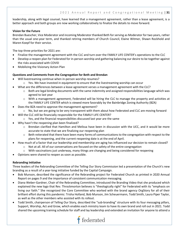leadership, along with legal counsel, have learned that a management agreement, rather than a lease agreement, is a better approach and both groups are now working collaboratively to finalize the details to move forward.

#### **Vision for the Future**

Brendan Buescher, Vice Moderator and incoming Moderator thanked Beth for serving as Moderator for two years, rather than the usual one-year term, and thanked retiring members of Church Council, Elaine Witmer, Shawn Rockhold and Maren Koepf for their service.

The top three priorities for 2021 are:

- Finalize the management agreement with the CLC and turn over the FAMILY LIFE CENTER's operations to the CLC
- Develop a reopen plan for Federated for in-person worship and gathering balancing our desire to be together against the risks associated with COVID
- Mobilizing the Visionary Action Plan

#### **Questions and Comments from the Congregation for Beth and Brendan**

- Will livestreaming continue when in-person worship resumes?
	- $\circ$  Yes. We have invested in equipment to ensure that the livestreaming worship can occur
- What are the differences between a lease agreement verses a management agreement with the CLC?
	- $\circ$  Both are legal binding documents with the same indemnity and assigned responsibilities language which was agreed to last year
	- $\circ$  With a management agreement, Federated will be hiring the CLC to manage the property and activities at the FAMILY LIFE CENTER which is viewed more favorably by the Bainbridge Zoning Authority (BZA)
- Does the BZA need to approve the management agreement?
	- $\circ$  No, but we are going to be very transparent with them about how Federated and CLC are moving forward
	- Will the CLC still be financially responsible for the FAMILY LIFE CENTER?
		- o Yes, and the financial responsibilities discussed last year are the same
- Why hasn't the reopening plan been finalized?
	- o Brendan clarified that Hamilton and Melissa have been in discussion with the UCC, and it would be more accurate to state that we are finalizing our reopening plan
	- $\circ$  Beth reiterated that there have been many forms of communications to the congregation with respect to the plans for reopening, and the current reopening date is at the end of April.
- How much of a factor that our leadership and membership are aging has influenced our decision to remain closed?
	- $\circ$  Not at all. All of our conversations are focused on the safety of the entire congregation
	- $\circ$  With vaccinations just underway, many things are changing and being considered for reopening
- Opinions were shared to reopen as soon as possible.

#### **Rebranding Initiative**

Three leaders of the Rebranding Committee of the Telling Our Story Commission led a presentation of the Church's new branding as a result of a year-long initiative funded by the Capital Campaign.

- Bob Munson, described the significance of the Rebranding project for Federated Church as printed in 2020 Annual Report on pages 9 and the importance of consistent communication messaging.
- Diana Weber-Gardner, Chair of the Rebranding Committee, introduced the Branding Video that she produced which explained the new logo that Rev. Throckmorton believes is "theologically right" for Federated with its "emphasis on living our faith." She recognized the Core Committee who worked with the brand agency OrgStory for all of their brilliant effort during this pandemic: Trisha Holland, Bob Munson, Jim Scheuermann, Todd Smith, Laura Piper Taylor, as well as the other members who assisted with its rollout.
- Todd Smith, chairperson of Telling Our Story, described the "sub-branding" structure with its four messaging pillars, Support, Worship, Act and Grow, which enables each ministry team to have its own brand and roll out in 2021. Todd shared the upcoming training schedule for staff and lay leadership and extended an invitation for anyone to attend a

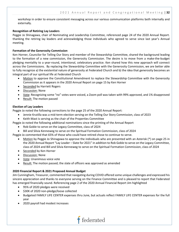workshop in order to ensure consistent messaging across our various communication platforms both internally and externally.

#### **Recognition of Retiring Lay Leaders**

Peggie Jo Shinagawa, chair of Nominating and Leadership Committee, referenced page 24 of the 2020 Annual Report. thanking the retiring lay leaders and acknowledging those individuals who agreed to serve since last year's Annual meeting.

#### **Formation of the Generosity Commission**

Ken Horner, Councilor for Telling Our Story and member of the Stewardship Committee, shared the background leading to the formation of a new commission, the Generosity Commission. The desire is to move from a make-the-budget pledging mentality to a year-round, intentional, celebratory practice. Ken shared how this new approach will connect across the Commissions. By replacing the Stewardship Committee with the Generosity Commission, we are better able to fully recognize a) the existential nature of generosity at Federated Church and b) the idea that generosity becomes an integral part of our spiritual life at Federated Church

- Motion to approve the Constitutional Amendment to replace the Stewardship Committee with the Generosity Commission as it appears in the 2020 Annual Report on page 15 by Ken Horner
- Seconded by Harriett Rogers
- Discussion: None
- Vote: Recognizing some "no" votes were voiced, a Zoom poll was taken with 99% approved, and 1% disapproved
- Result: The motion passed

#### **Election of Lay Leaders**

Peggie Jo noted the following corrections to the page 25 of the 2020 Annual Report:

- Jennie Krutilla was a mid-term election serving on the Telling Our Story Commission, class of 2023
- Keith Mast is serving as the chair of the Properties Committee
- Peggie Jo noted the following additional nominations since the printing of the Annual Report
	- Rob Goble to serve on the Legacy Committee, class of 2024
	- Bill and Silvia Kenneweg to serve on the Spiritual Formation Commission, class of 2024

Peggie Jo commented that 65% of those who could have retired chose to continue to serve.

- Motion by Peggie Jo Shinagawa to approve the individuals who are presented with an Asterisk (\*) on page 25 in the 2020 Annual Report "Lay Leader – Slate for 2021" in addition to Rob Goble to serve on the Legacy Committee, class of 2024 and Bill and Silvia Kenneweg to serve on the Spiritual Formation Commission, class of 2024
- Seconded by Ken Horner
- Discussion: None
- Vote: Unanimous voice vote
- Result: The motion passed; the slate of officers was approved as amended

#### **2020 Financial Report & 2021 Proposed Annual Budget**

Jim Cunningham, Treasurer, commented that navigating during COVID offered some unique challenges and expressed his sincere appreciation and thanks to everyone serving on the Finance Committee and is pleased to report that Federated has emerged financially sound. Referencing page 2 of the 2020 Annual Financial Report Jim highlighted

- 95% of 2020 pledges were received
- \$30K of 2020 non-pledge/loose collected
- Budgeted FAMILY LIFE CENTER expenses thru June, but actuals reflect FAMILY LIFE CENTER expenses for the full year
- 2020 payroll had modest increases

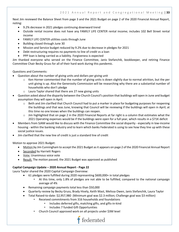Next Jim reviewed the Balance Sheet from page 3 and the 2021 Budget on page 2 of the 2020 Financial Annual Report, noting:

- 9.2% decrease in 2021 pledges continuing downward trend
- Outside rental income does not have any FAMILY LIFE CENTER rental income; includes 102 Bell Street rental income
- FAMILY LIFE CENTER utilities costs through June
- Building closed through June 30
- Mission and Service budget reduced by 9.2% due to decrease in pledges for 2021
- Debt restructuring requires no payments to line of credit vs a loan
- PPP loan is being carried as a liability. Forgiveness is expected

Jim thanked everyone who served on the Finance Committee, Janis Stefanchik, bookkeeper, and retiring Finance Committee Chair Becky Gruss for all of their hard work during this pandemic.

Questions and Comments:

- Question about the number of giving units and dollars per giving unit
	- $\circ$  Ken Horner commented that the number of giving units is down slightly due to normal attrition, but the per unit giving is up. Also the Generosity Commission will be researching why there are a substantial number of households who don't pledge
	- o Laura Taylor shared that there are 27 new giving units
- Question asked about the disparity between the Church Council's position that buildings will open in June and budget assumption they will open in April.
	- $\circ$  Beth and Jim clarified that Church Council had to put a marker in place for budgeting purposes for reopening the buildings and that was June, knowing that Council will be reviewing if the buildings will open in April; at this time no one knows when the buildings can reopen.
	- $\circ$  Jim highlighted that on page 2 in the 2020 Financial Reports at far right is a column that estimates what the 2021 Operating expenses would be if the buildings were open for a full year, which results in a \$71K deficit
- Members from SJAM would like to discuss with the Finance Committee the social disparity especially in low-income housing - within the banking industry and to learn which banks Federated is using to see how they line up with these social justice issues.
- Jim clarified that the new line of credit is just a standard line of credit

Motion to approve 2021 Budget:

- Motion by Jim Cunningham to accept the 2021 Budget as it appears on page 2 of the 2020 Financial Annual Report
- Seconded by Harriett Rogers
- Vote: Unanimous voice vote
- Result: The motion passed; the 2021 Budget was approved as published

#### **Capital Campaign Update – 2020 Annual Report - Page 22**

Laura Taylor shared the 2020 Capital Campaign Overview:

- 61 pledges were fulfilled during 2020 representing \$600,000+ in total pledges
	- At this time, only 1.8% of pledges are not able to be fulfilled, compared to the national campaign average of 4%
- Remaining campaign payments total less than \$50,000
- Quarterly review by Becky Gruss, Brady Hively, Keith Mast, Melissa Owen, Janis Stefanchik, Laura Taylor
- Total Raised-to-date: \$2,957,980 (Minimum goal was \$2.3 million; Challenge goal was \$3 million)
	- Received commitments from 316 households and foundations
		- Includes deferred gifts, matching gifts, and gifts-in-kind
			- Includes 7 funded Gift Opportunities
	- Church Council approved work on all projects under \$3M level

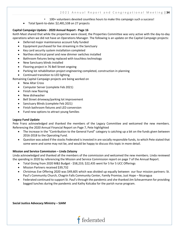• 100+ volunteers devoted countless hours to make this campaign such a success!

• Total Spent-to-date: \$2,481,538 on 27 projects

#### **Capital Campaign Update - 2020 Annual Report - Page 16**

Keith Mast shared that while the properties were closed, the Properties Committee was very active with the day-to-day operations when we did not have an Operations Manager. The following is an update on the Capital Campaign projects:

- Deferred major maintenance account fully funded
- Equipment purchased for live streaming in the Sanctuary
- Key card security system installation completed
- Narthex electrical panel and new dimmer switches installed
- Bathroom fixtures being replaced with touchless technology
- New Sanctuary blinds installed
- Flooring project in 76 Bell Street ongoing
- Parking lot rehabilitation project engineering completed, construction in planning
- Continued transition to LED lighting

Remaining Capital Campaign projects are being worked on

- New Altar Cross
- Computer Server (complete Feb 2021)
- Finish new flooring
- New dishwasher
- Bell Street driveway/parking lot improvement
- Sanctuary Blinds (complete Feb 2021)
- Finish bathroom fixtures and LED conversion
- Fund new options to attract young families

#### **Legacy Fund Update**

Pete Franz acknowledged and thanked the members of the Legacy Committee and welcomed the new members. Referencing the 2020 Annual Financial Report on Page 7, Pete highlighted

- The increase in the "Contribution to the General Fund" category is catching up a bit on the funds given between 2016-2018 to the Operating Fund.
- Question was asked if the stocks Federated is invested in are socially responsible funds, to which Pete stated that some were and some may not be, and would be happy to discuss this topic in more detail.

#### **Mission and Service Commission – Linda Zelazny**

Linda acknowledged and thanked all the members of the commission and welcomed the new members. Linda reviewed the spending in 2020 by referencing the Mission and Service Commission report on page 7 of the Annual Report.

- Total Giving from 2020 M&S Budget \$58,233; \$22,435 went for 5 for 5 UCC Offerings
- Mission Partners received \$39,732
- Christmas Eve Offering 2020 was \$49,605 which was divided up equally between our four mission partners: St. Paul's Community Church, Chagrin Falls Community Center, Family Promise, Just Hope – Nicaragua
- Federated continued to support St. Paul's through the pandemic and she thanked Jim Scheuermann for providing bagged lunches during the pandemic and Kathy Kolcaba for the parish nurse program.

**Social Justice Advocacy Ministry – SJAM**

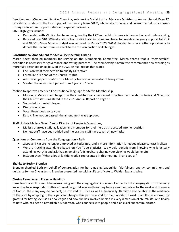Dan Kershner, Mission and Service Councilor, referencing Social Justice Advocacy Ministry on Annual Report Page 17, provided an update on the fourth year of the ministry team, SJAM, who works on Social and Environmental Justice issues through educational opportunities and experiential events.

2020 Highlights include:

- Partnership with Mt. Zion has been recognized by the UCC as model of inter-racial connection and understanding
- Received over \$10,000 in donations from individuals' first stimulus checks to provide emergency support to HOLA and NEOCH. Since Mission budget was reduced by 9% for 2020, W&M decided to offer another opportunity to donate the second stimulus check to the mission portion of its budget.

#### **Constitutional Amendment for Active Membership Criteria**

Maren Koepf thanked members for serving on the Membership Committee. Maren shared that a "membership" definition is necessary for governance and voting purposes. The Membership Committee recommends new wording as more fully described on page 12 of the 2020 Annual report that would

- Focus on what members do to qualify as "active"
- Formalize a "Friend of the Church" status
- Acknowledge participation on a Ministry Team as an indicator of being active
- Shorten the assessment period from 2 years to 1 year

Motion to approve amended Constitutional language for Active Membership

- Motion by Maren Koepf to approve the constitutional amendment for active membership criteria and "Friend of the Church" status as stated in the 2020 Annual Report on Page 13
- Seconded by Harriett Rogers
- Discussion: None
- Vote: Unanimous voice vote
- Result: The motion passed; the amendment was approved

**Staff Update** Melissa Owen, Senior Director of People & Operations,

- Melissa thanked staff, lay leaders and members for their help as she settled into her position
- No new staff have been added and the existing staff have taken on new tasks

#### **Questions or Comments from the Congregation** – Beth

- Jacob and Kin are no longer employed at Federated, and if more information is needed please contact Melissa
- We are tracking attendance based on You Tube statistics. We would benefit from knowing who is actually attending worship and ask that an email to fedchurch.org sharing your viewing would be helpful.
- In Zoom chat: "What a lot of faithful work is represented in this meeting. Thank you all"

#### **Thanks to Beth – Brendan**

Brendan thanked Beth on behalf of congregation for her amazing leadership, faithfulness, energy, commitment and guidance for her 2-year term. Brendan presented her with a gift certificate to Walden Spa and wine.

#### **Closing Remarks and Prayer – Hamilton**

Hamilton shared how much he misses being with the congregation in-person. He thanked the congregation for the many waysthey have responded to this extraordinary, odd year and how they have given themselves to the work and presence of God in the many ways to connect, be involved in justice as well as financially. Hamilton also celebrates the resilience of the staff by adapting to the significant changes this past year and for their wonderful work. Hamilton is enormously grateful for having Melissa as a colleague and how she has involved herself in every dimension of church life. And finally, to Beth who has been a remarkable Moderator, who connects with people and is an excellent communicator.

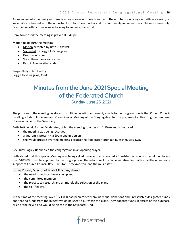As we move into the new year Hamilton really loves our new brand with the emphasis on living our faith in a variety of ways. We are blessed with the opportunity to touch each other and the community in unique ways. The new Generosity Commission offers us new ways to living to enhance the world.

Hamilton closed the meeting in prayer at 1:40 pm.

Motion to adjourn the meeting

- Motion accepted by Beth Rutkowski
- Seconded by Peggie Jo Shinagawa
- Discussion: None
- Vote: Unanimous voice vote
- Result: The meeting ended

Respectfully submitted by Peggie Jo Shinagawa, Clerk

# Minutes from the June 2021 Special Meeting of the Federated Church

Sunday June 25, 2021

The purpose of the meeting, as stated in multiple bulletins and weekly emails to the congregation, is that Church Council is calling a hybrid In-person and Zoom Special Meeting of the Congregation for the purpose of authorizing the purchase of a new piano for the Sanctuary.

Beth Rutkowski, Former Moderator, called the meeting to order at 11:10am and announced:

- the meeting was being recorded
- a quorum is present via Zoom and in-person
- she would preside over the meeting because the Moderator, Brendan Buescher, was away

Rev. Judy Bagley-Bonner led the congregation in an opening prayer.

Beth stated that this Special Meeting was being called because the Federated's Constitution requires that all purchases over \$100,000 must be approved by the congregation. The selection of the Piano Initiative Committee had the unanimous support of Church Council, Rev. Hamilton Throckmorton, and the music staff.

Joshua Konow, Director of Music Ministries, shared:

- the need to replace the existing piano
- the committee members
- the process to research and ultimately the selection of the piano
- the six "finalists"

At the time of the meeting, over \$121,000 had been raised from individual donations and unrestricted designated funds and that no funds from the budget would be used to purchase the piano. Any donated funds in excess of the purchase price of the new piano would be placed in the Keyboard Fund.

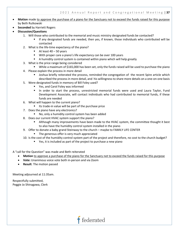- **Motion** made to approve the purchase of a piano for the Sanctuary not to exceed the funds raised for this purpose by Beth Rutkowski
- **Seconded** by Harriett Rogers
- **Discussion/Questions**
	- 1. Will those who contributed to the memorial and music ministry designated funds be contacted?
		- If any designated funds are needed, then yes, if known, those individuals who contributed will be contacted
	- 2. What is the life-time expectancy of the piano?
		- $\blacksquare$  At least 40 50 years
		- **With proper care a piano's life expectancy can be over 100 years**
		- A humidity control system is contained within piano which will help greatly
	- 3. What is the price range being considered
		- While a maximum of \$165,000 has been set, only the funds raised will be used to purchase the piano
	- 4. Please explain the process in more detail
		- Joshua briefly reiterated the process, reminded the congregation of the recent Spire article which described the process in more detail, and his willingness to share more details on a one-on-one basis
	- 5. Were designated funds in memory of Bill Foley used?
		- **Part Carol Foley was informed**
		- In order to start the process, unrestricted memorial funds were used and Laura Taylor, Fund Development Associate, will contact individuals who had contributed to memorial funds, if these funds are needed
	- 6. What will happen to the current piano?
		- **Its trade-in value will be part of the purchase price**
	- 7. Does the piano have any electronics?
		- No, only a humidity control system has been added
	- 8. Does our current HVAC system support the piano?
		- Although many improvements have been made to the HVAC system, the committee thought it best to also have the humidity control system installed in the piano
	- 9. Offer to donate a baby grand Steinway to the church maybe to FAMILY LIFE CENTER
		- **The generous offer is very much appreciated**
	- 10. Is the cost of the humidity control system part of the project and therefore, no cost to the church budget?
		- Yes, it is included as part of the project to purchase a new piano

A "call for the Question" was made and Beth reiterated

• Motion to approve a purchase of the piano for the Sanctuary not to exceed the funds raised for this purpose

**t** federated

- **Vote:** Unanimous voice vote both in-person and via Zoom
- **Result**: The motion passed

Meeting adjourned at 11:35am.

Respectfully submitted, Peggie Jo Shinagawa, Clerk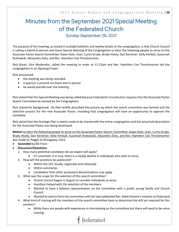## Minutes from the September 2021 Special Meeting of the Federated Church Sunday September 26, 2021

The purpose of the meeting, as stated in multiple bulletins and weekly emails to the congregation, is that Church Council is calling a hybrid In-person and Zoom Special Meeting of the Congregation to elect the following people to serve on the Associate Pastor Search Committee: Dawn Dole, chair, Curtis Grube, Brady Hively, Dan Kershner, Kelly Kimball, Susannah Rutkowski, Alexandra Ziots, and Rev. Hamilton Coe Throckmorton.

Rick Bryan, Vice Moderator, called the meeting to order at 11:15am and Rev. Hamilton Coe Throckmorton led the congregation in an Opening Prayer.

Rick announced:

- the meeting was being recorded
- a quorum is present via Zoom and in-person
- he would preside over the meeting

Rick stated that this Special Meeting was being called because Federated's Constitution requires that the Associate Pastor Search Committee be elected by the Congregation.

Rick shared his background. He then briefly described the process by which the search committee was formed and the selection process for the new Associate Pastor, including that congregation will have an opportunity to approve the candidate.

Rick stated that the Strategic Plan is nearly ready to be shared with the entire congregation and the actual job description for the Associate Pastor was being developed.

**Motion** to elect the following people to serve on the Associate Pastor Search Committee: Dawn Dole, chair, Curtis Grube, Brady Hively, Dan Kershner, Kelly Kimball, Susannah Rutkowski, Alexandra Ziots, and Rev. Hamilton Coe Throckmorton was made by Peggie Jo Shinagawa, Clerk

- **Seconded** by Bill Franz
- **Discussion/Questions**
	- 1. How many potential candidates do we expect will apply?
		- It's uncertain; it is true, there is a steady decline in individuals who wish to serve
	- 2. How will the positions be publicized?
		- Within the UCC locally, regionally and nationally
		- Within seminaries
		- Candidates from other protestant denominations may apply
	- 3. What was the scope for the selection of this search committee?
		- Church Council began in August to consider individuals to serve
		- Hamilton helped with the selection of the members
		- Wanted to have a balance representation on the committee with a youth, young family and Church Council
		- Wanted to wait to form the committee until we had celebrated Rev. Mark Simone's ministry at Federated
	- 4. What kind of training will the members of the search committee have to determine the skill set required for this position?
		- While there are people with experience in interviewing on the committee but there will need to be some training

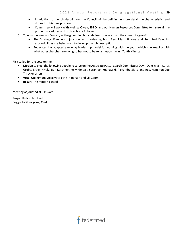- In addition to the job description, the Council will be defining in more detail the characteristics and duties for this new position
- Committee will work with Melissa Owen, SDPO, and our Human Resources Committee to insure all the proper procedures and protocols are followed
- 5. To what degree has Council, as the governing body, defined how we want the church to grow?
	- The Strategic Plan in conjunction with reviewing both Rev. Mark Simone and Rev. Susi Kawolics responsibilities are being used to develop the job description.
	- Federated has adapted a new lay leadership model for working with the youth which is in keeping with what other churches are doing so has not to be reliant upon having Youth Minister

Rick called for the vote on the

- **Motion** to elect the following people to serve on the Associate Pastor Search Committee: Dawn Dole, chair, Curtis Grube, Brady Hively, Dan Kershner, Kelly Kimball, Susannah Rutkowski, Alexandra Ziots, and Rev. Hamilton Coe Throckmorton
- **Vote:** Unanimous voice vote both in-person and via Zoom
- **Result**: The motion passed

Meeting adjourned at 11:37am.

Respectfully submitted, Peggie Jo Shinagawa, Clerk

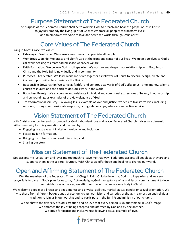## Purpose Statement of The Federated Church

The purpose of the Federated Church shall be to worship God; to preach and hear the gospel of Jesus Christ; to joyfully embody the living Spirit of God; to embrace all people; to transform lives; and to empower everyone to love and serve the world through Jesus Christ.

## Core Values of The Federated Church

Living in God's Grace, we value:

- Extravagant Welcome: We warmly welcome and appreciate all people.
- Wondrous Worship: We praise and glorify God at the front and center of our lives. We open ourselves to God's call while seeking to create sacred space wherever we are.
- Faith Formation: We believe God is still speaking. We nurture and deepen our relationship with God, Jesus Christ and the Holy Spirit individually and in community.
- Purposeful Leadership: We lead, work and serve together as followers of Christ to discern, design, create and inspire opportunities to experience the Divine.
- Responsible Stewardship: We serve as faithful and generous stewards of God's gifts to us: time, money, talents, church resources and the earth to do God's work in the world.
- Boundless Beauty: We encourage and celebrate individual and communal expressions of beauty in our worship and surroundings as examples of the Holy elegance of God.
- Transformational Ministry: Following Jesus' example of love and justice, we seek to transform lives, including our own, through compassionate response, caring relationships, advocacy and active service.

## Vision Statement of The Federated Church

With Christ at our center and surrounded by God's abundant love and grace, Federated Church thrives as a dynamic faith community for this generation and the next by:

- Engaging in extravagant invitation, welcome and inclusion,
- Fostering faith formation,
- Bringing forth transformational ministries, and
- Sharing our story

## Mission Statement of The Federated Church

God accepts me just as I am and loves me too much to leave me that way. Federated accepts all people as they are and supports them in the spiritual journey. With Christ we offer hope and healing to change our world.

## Open and Affirming Statement of The Federated Church

We, the members of the Federated Church of Chagrin Falls, Ohio believe that God is still speaking and we seek prayerfully to discern God's plan for us today. Acknowledging God's acceptance of us and Jesus' commandment to love our neighbors as ourselves, we affirm our belief that we are one body in Christ.

We welcome people of all races and ages, mental and physical abilities, marital status, gender or sexual orientation. We invite those from different backgrounds of economic class, ethnicity, and varieties of thought, expression and religious tradition to join us in our worship and to participate in the full life and ministry of our church.

We celebrate the diversity of God's creation and believe that every person is uniquely made in God's image. We embrace the joy of being accepted and affirmed by God and by one another. We strive for justice and inclusiveness following Jesus' example of love.

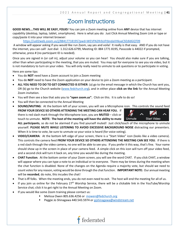### Zoom Instructions

**GOOD NEWS….THIS WILL BE EASY, FOLKS**! You can join a Zoom meeting online from **ANY** device that has internet capability (desktop, laptop, tablet, smartphone). Here is what you do: Just Click Annual Meeting Zoom Link or type or copy/paste it into your internet browser:

<https://us02web.zoom.us/j/88417718195?pwd=WEVFN2RrbUFtbndaVHkxaC9ZdldGQT09>

A window will appear asking if you would like run Zoom, say yes and voila! It really is that easy. AND if you do not have the internet, you can call! Just dial: 1.312.626.6799, Meeting ID: 884 1771 8195, Passcode is 44022 if prompted, otherwise, press # (no participant ID is needed).

Once you are signed in (or call in), adjust your volume so you can hear! You should also make sure if you are talking, other than when participating in the meeting, that you are muted. You may opt for everyone to see you via video, but it is not mandatory to turn on your video. You will only really need to unmute to ask questions or to participate in voting.

Here are some tips:

- You do **NOT** need have a Zoom account to join a Zoom meeting
- You do **NOT** need to have the Zoom application on your device to join a Zoom meeting as a participant.
- **ALL YOU NEED TO DO TO GET CONNECTED IS EITHER**: (a) go to the email message in which the Church has sent you, OR (b) go to the Church website [\(www.fedchurch.org\)](http://www.fedchurch.org/), and in either place **click on the link** for the Annual Meeting Zoom invitation.
- You will then see a box that asks you to **"open zoom.us".** Click on this. It is safe to do so!
- You will then be connected to the Annual Meeting
- **SOUND/MUTING**: At the bottom left of your screen, you will see a Microphone icon. This controls the sound feed **FROM YOUR DEVICE SO OTHERS ATTENDING THE MEETING CAN HEAR YOU.** If there is red slash mark through the Microphone icon, you are **MUTED** – click or touch to unmute. **NOTE: The host of the meeting will have the ability to mute Start Video ALL participants**, so do not be alarmed if you find yourself muted! Just click/touch of the microphone to unmute yourself. **PLEASE MUTE WHILE LISTENING TO AVOID EXCESSIVE BACKGROUND NOISE** distracting our presenters. When it is time to vote, be sure to unmute so your voice is heard (for voice voting).
- **VIDEO/CAMERA**: At the bottom left edge of your screen, there is a "Start Video" icon (looks like a video camera). This controls the camera feed **FROM YOUR DEVICE SO OTHERS ATTENDING THE MEETING CAN SEE YOU**. If there is a red slash through the video camera, no one will be able to see you. If you prefer it this way, that's fine. Your name should show up in the screen in place of your camera feed. A simple click on this icon will turn off your video feed, and a second click will turn it back on, any time you would like during the meeting.
- **CHAT Function**. At the bottom center of your Zoom screen, you will see the word CHAT. If you click CHAT, a window will appear where you can type a note to an individual or to everyone. There may be times during the meeting when the chat function is disabled. None of the changes on the Agenda require a majority vote, but should we need to count votes for any reason, voting would be done through the chat function. **IMPORTANT NOTE:** Our annual meeting will be **recorded**, do note, this incudes the chat!
- That is **IT** folks. When the meeting ends, you do not even need to exit. The host will end the meeting for all of us.
- If you join us online for the February 27<sup>th</sup> Worship Service, there will be a clickable link in the YouTube/Worship Service chat; click it to get right to the Annual Meeting on Zoom.
- If you would like some Zoom training please contact us:
	- Melissa Owen 805.636.4256 or [mowen@fedchurch.org](mailto:mowen@fedchurch.org)
	- Peggie Jo Shinagawa 440.543.5974 o[r pjshinagawa@windstream.net](mailto:pjshinagawa@windstream.net)